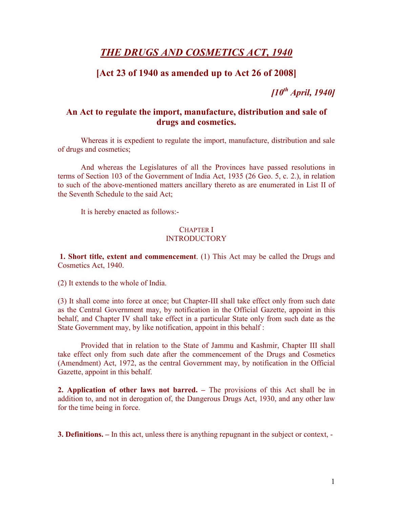# THE DRUGS AND COSMETICS ACT, 1940

## [Act 23 of 1940 as amended up to Act 26 of 2008]

 $[10^{th}$  April, 1940]

## An Act to regulate the import, manufacture, distribution and sale of drugs and cosmetics.

Whereas it is expedient to regulate the import, manufacture, distribution and sale of drugs and cosmetics;

And whereas the Legislatures of all the Provinces have passed resolutions in terms of Section 103 of the Government of India Act, 1935 (26 Geo. 5, c. 2.), in relation to such of the above-mentioned matters ancillary thereto as are enumerated in List II of the Seventh Schedule to the said Act;

It is hereby enacted as follows:-

#### CHAPTER I **INTRODUCTORY**

1. Short title, extent and commencement. (1) This Act may be called the Drugs and Cosmetics Act, 1940.

(2) It extends to the whole of India.

(3) It shall come into force at once; but Chapter-III shall take effect only from such date as the Central Government may, by notification in the Official Gazette, appoint in this behalf, and Chapter IV shall take effect in a particular State only from such date as the State Government may, by like notification, appoint in this behalf :

Provided that in relation to the State of Jammu and Kashmir, Chapter III shall take effect only from such date after the commencement of the Drugs and Cosmetics (Amendment) Act, 1972, as the central Government may, by notification in the Official Gazette, appoint in this behalf.

2. Application of other laws not barred. – The provisions of this Act shall be in addition to, and not in derogation of, the Dangerous Drugs Act, 1930, and any other law for the time being in force.

3. Definitions. – In this act, unless there is anything repugnant in the subject or context, -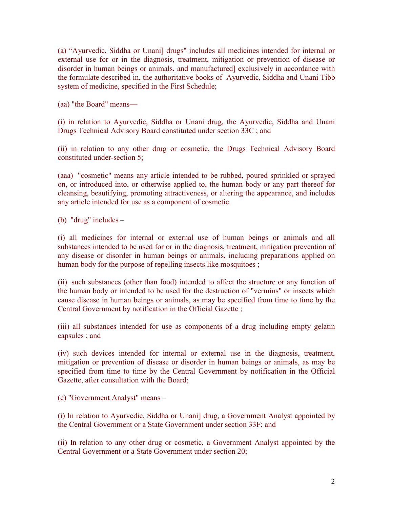(a) "Ayurvedic, Siddha or Unani] drugs" includes all medicines intended for internal or external use for or in the diagnosis, treatment, mitigation or prevention of disease or disorder in human beings or animals, and manufactured] exclusively in accordance with the formulate described in, the authoritative books of Ayurvedic, Siddha and Unani Tibb system of medicine, specified in the First Schedule;

(aa) "the Board" means—

(i) in relation to Ayurvedic, Siddha or Unani drug, the Ayurvedic, Siddha and Unani Drugs Technical Advisory Board constituted under section 33C ; and

(ii) in relation to any other drug or cosmetic, the Drugs Technical Advisory Board constituted under-section 5;

(aaa) "cosmetic" means any article intended to be rubbed, poured sprinkled or sprayed on, or introduced into, or otherwise applied to, the human body or any part thereof for cleansing, beautifying, promoting attractiveness, or altering the appearance, and includes any article intended for use as a component of cosmetic.

(b) "drug" includes –

(i) all medicines for internal or external use of human beings or animals and all substances intended to be used for or in the diagnosis, treatment, mitigation prevention of any disease or disorder in human beings or animals, including preparations applied on human body for the purpose of repelling insects like mosquitoes;

(ii) such substances (other than food) intended to affect the structure or any function of the human body or intended to be used for the destruction of "vermins" or insects which cause disease in human beings or animals, as may be specified from time to time by the Central Government by notification in the Official Gazette ;

(iii) all substances intended for use as components of a drug including empty gelatin capsules ; and

(iv) such devices intended for internal or external use in the diagnosis, treatment, mitigation or prevention of disease or disorder in human beings or animals, as may be specified from time to time by the Central Government by notification in the Official Gazette, after consultation with the Board;

(c) "Government Analyst" means –

(i) In relation to Ayurvedic, Siddha or Unani] drug, a Government Analyst appointed by the Central Government or a State Government under section 33F; and

(ii) In relation to any other drug or cosmetic, a Government Analyst appointed by the Central Government or a State Government under section 20;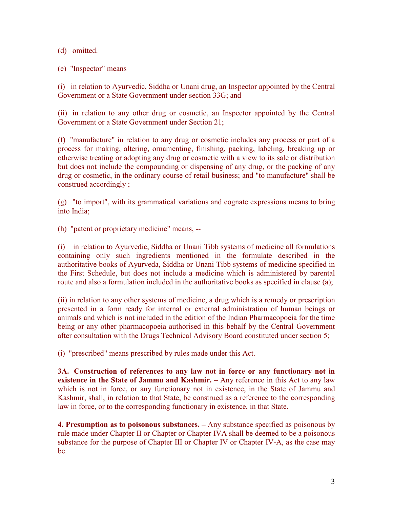(d) omitted.

(e) "Inspector" means—

(i) in relation to Ayurvedic, Siddha or Unani drug, an Inspector appointed by the Central Government or a State Government under section 33G; and

(ii) in relation to any other drug or cosmetic, an Inspector appointed by the Central Government or a State Government under Section 21;

(f) "manufacture" in relation to any drug or cosmetic includes any process or part of a process for making, altering, ornamenting, finishing, packing, labeling, breaking up or otherwise treating or adopting any drug or cosmetic with a view to its sale or distribution but does not include the compounding or dispensing of any drug, or the packing of any drug or cosmetic, in the ordinary course of retail business; and "to manufacture" shall be construed accordingly ;

(g) "to import", with its grammatical variations and cognate expressions means to bring into India;

(h) "patent or proprietary medicine" means, --

(i) in relation to Ayurvedic, Siddha or Unani Tibb systems of medicine all formulations containing only such ingredients mentioned in the formulate described in the authoritative books of Ayurveda, Siddha or Unani Tibb systems of medicine specified in the First Schedule, but does not include a medicine which is administered by parental route and also a formulation included in the authoritative books as specified in clause (a);

(ii) in relation to any other systems of medicine, a drug which is a remedy or prescription presented in a form ready for internal or external administration of human beings or animals and which is not included in the edition of the Indian Pharmacopoeia for the time being or any other pharmacopoeia authorised in this behalf by the Central Government after consultation with the Drugs Technical Advisory Board constituted under section 5;

(i) "prescribed" means prescribed by rules made under this Act.

3A. Construction of references to any law not in force or any functionary not in existence in the State of Jammu and Kashmir. – Any reference in this Act to any law which is not in force, or any functionary not in existence, in the State of Jammu and Kashmir, shall, in relation to that State, be construed as a reference to the corresponding law in force, or to the corresponding functionary in existence, in that State.

4. Presumption as to poisonous substances. – Any substance specified as poisonous by rule made under Chapter II or Chapter or Chapter IVA shall be deemed to be a poisonous substance for the purpose of Chapter III or Chapter IV or Chapter IV-A, as the case may be.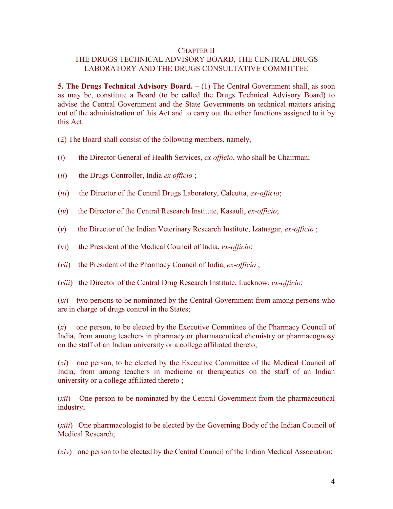#### CHAPTER II

### THE DRUGS TECHNICAL ADVISORY BOARD, THE CENTRAL DRUGS LABORATORY AND THE DRUGS CONSULTATIVE COMMITTEE

**5. The Drugs Technical Advisory Board.**  $- (1)$  The Central Government shall, as soon as may be, constitute a Board (to be called the Drugs Technical Advisory Board) to advise the Central Government and the State Governments on technical matters arising out of the administration of this Act and to carry out the other functions assigned to it by this Act.

(2) The Board shall consist of the following members, namely,

- $(i)$  the Director General of Health Services, ex officio, who shall be Chairman;
- $(ii)$  the Drugs Controller, India ex officio ;
- (*iii*) the Director of the Central Drugs Laboratory, Calcutta,  $ex\text{-}off\text{-}licio$ ;
- $(iv)$  the Director of the Central Research Institute, Kasauli, ex-officio;
- (v) the Director of the Indian Veterinary Research Institute, Izatnagar,  $ex\text{-}officio$ ;
- (vi) the President of the Medical Council of India, ex-officio;
- (*vii*) the President of the Pharmacy Council of India, ex-officio;
- (*viii*) the Director of the Central Drug Research Institute, Lucknow, ex-officio;

 $(ix)$  two persons to be nominated by the Central Government from among persons who are in charge of drugs control in the States;

(x) one person, to be elected by the Executive Committee of the Pharmacy Council of India, from among teachers in pharmacy or pharmaceutical chemistry or pharmacognosy on the staff of an Indian university or a college affiliated thereto;

(xi) one person, to be elected by the Executive Committee of the Medical Council of India, from among teachers in medicine or therapeutics on the staff of an Indian university or a college affiliated thereto ;

(xii) One person to be nominated by the Central Government from the pharmaceutical industry;

(xiii) One pharrmacologist to be elected by the Governing Body of the Indian Council of Medical Research;

(xiv) one person to be elected by the Central Council of the Indian Medical Association;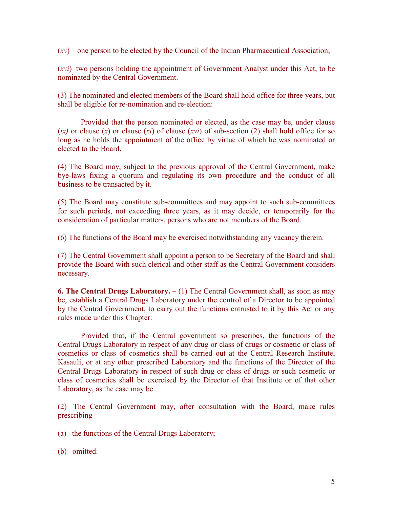$(xv)$  one person to be elected by the Council of the Indian Pharmaceutical Association;

(xvi) two persons holding the appointment of Government Analyst under this Act, to be nominated by the Central Government.

(3) The nominated and elected members of the Board shall hold office for three years, but shall be eligible for re-nomination and re-election:

Provided that the person nominated or elected, as the case may be, under clause (ix) or clause (x) or clause (xi) of clause (xvi) of sub-section (2) shall hold office for so long as he holds the appointment of the office by virtue of which he was nominated or elected to the Board.

(4) The Board may, subject to the previous approval of the Central Government, make bye-laws fixing a quorum and regulating its own procedure and the conduct of all business to be transacted by it.

(5) The Board may constitute sub-committees and may appoint to such sub-committees for such periods, not exceeding three years, as it may decide, or temporarily for the consideration of particular matters, persons who are not members of the Board.

(6) The functions of the Board may be exercised notwithstanding any vacancy therein.

(7) The Central Government shall appoint a person to be Secretary of the Board and shall provide the Board with such clerical and other staff as the Central Government considers necessary.

**6. The Central Drugs Laboratory.**  $- (1)$  The Central Government shall, as soon as may be, establish a Central Drugs Laboratory under the control of a Director to be appointed by the Central Government, to carry out the functions entrusted to it by this Act or any rules made under this Chapter:

Provided that, if the Central government so prescribes, the functions of the Central Drugs Laboratory in respect of any drug or class of drugs or cosmetic or class of cosmetics or class of cosmetics shall be carried out at the Central Research Institute, Kasauli, or at any other prescribed Laboratory and the functions of the Director of the Central Drugs Laboratory in respect of such drug or class of drugs or such cosmetic or class of cosmetics shall be exercised by the Director of that Institute or of that other Laboratory, as the case may be.

(2) The Central Government may, after consultation with the Board, make rules prescribing –

(a) the functions of the Central Drugs Laboratory;

(b) omitted.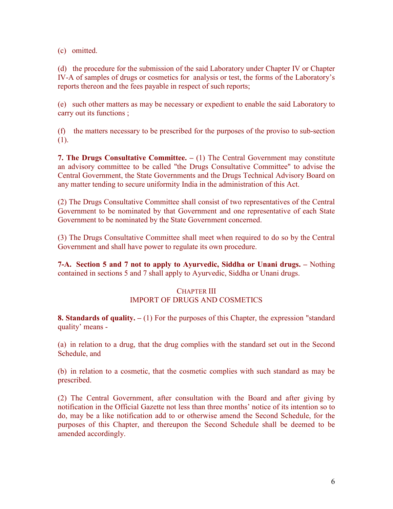(c) omitted.

(d) the procedure for the submission of the said Laboratory under Chapter IV or Chapter IV-A of samples of drugs or cosmetics for analysis or test, the forms of the Laboratory's reports thereon and the fees payable in respect of such reports;

(e) such other matters as may be necessary or expedient to enable the said Laboratory to carry out its functions ;

(f) the matters necessary to be prescribed for the purposes of the proviso to sub-section (1).

**7. The Drugs Consultative Committee.**  $- (1)$  The Central Government may constitute an advisory committee to be called "the Drugs Consultative Committee" to advise the Central Government, the State Governments and the Drugs Technical Advisory Board on any matter tending to secure uniformity India in the administration of this Act.

(2) The Drugs Consultative Committee shall consist of two representatives of the Central Government to be nominated by that Government and one representative of each State Government to be nominated by the State Government concerned.

(3) The Drugs Consultative Committee shall meet when required to do so by the Central Government and shall have power to regulate its own procedure.

7-A. Section 5 and 7 not to apply to Ayurvedic, Siddha or Unani drugs. – Nothing contained in sections 5 and 7 shall apply to Ayurvedic, Siddha or Unani drugs.

### CHAPTER III IMPORT OF DRUGS AND COSMETICS

**8. Standards of quality.**  $- (1)$  For the purposes of this Chapter, the expression "standard" quality' means -

(a) in relation to a drug, that the drug complies with the standard set out in the Second Schedule, and

(b) in relation to a cosmetic, that the cosmetic complies with such standard as may be prescribed.

(2) The Central Government, after consultation with the Board and after giving by notification in the Official Gazette not less than three months' notice of its intention so to do, may be a like notification add to or otherwise amend the Second Schedule, for the purposes of this Chapter, and thereupon the Second Schedule shall be deemed to be amended accordingly.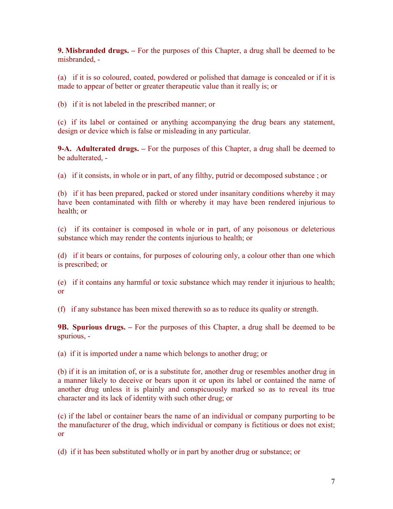9. Misbranded drugs. – For the purposes of this Chapter, a drug shall be deemed to be misbranded, -

(a) if it is so coloured, coated, powdered or polished that damage is concealed or if it is made to appear of better or greater therapeutic value than it really is; or

(b) if it is not labeled in the prescribed manner; or

(c) if its label or contained or anything accompanying the drug bears any statement, design or device which is false or misleading in any particular.

**9-A.** Adulterated drugs.  $-$  For the purposes of this Chapter, a drug shall be deemed to be adulterated, -

(a) if it consists, in whole or in part, of any filthy, putrid or decomposed substance ; or

(b) if it has been prepared, packed or stored under insanitary conditions whereby it may have been contaminated with filth or whereby it may have been rendered injurious to health; or

(c) if its container is composed in whole or in part, of any poisonous or deleterious substance which may render the contents injurious to health; or

(d) if it bears or contains, for purposes of colouring only, a colour other than one which is prescribed; or

(e) if it contains any harmful or toxic substance which may render it injurious to health; or

(f) if any substance has been mixed therewith so as to reduce its quality or strength.

9B. Spurious drugs. – For the purposes of this Chapter, a drug shall be deemed to be spurious, -

(a) if it is imported under a name which belongs to another drug; or

(b) if it is an imitation of, or is a substitute for, another drug or resembles another drug in a manner likely to deceive or bears upon it or upon its label or contained the name of another drug unless it is plainly and conspicuously marked so as to reveal its true character and its lack of identity with such other drug; or

(c) if the label or container bears the name of an individual or company purporting to be the manufacturer of the drug, which individual or company is fictitious or does not exist; or

(d) if it has been substituted wholly or in part by another drug or substance; or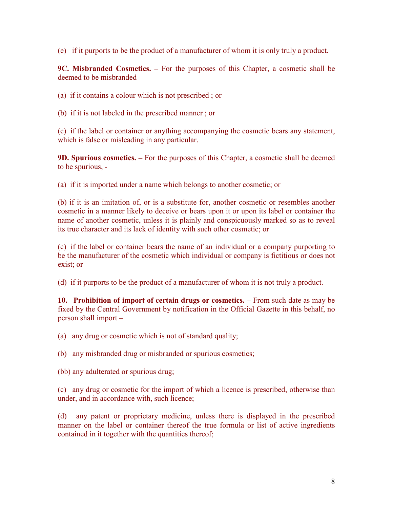(e) if it purports to be the product of a manufacturer of whom it is only truly a product.

9C. Misbranded Cosmetics. – For the purposes of this Chapter, a cosmetic shall be deemed to be misbranded –

(a) if it contains a colour which is not prescribed ; or

(b) if it is not labeled in the prescribed manner ; or

(c) if the label or container or anything accompanying the cosmetic bears any statement, which is false or misleading in any particular.

9D. Spurious cosmetics. – For the purposes of this Chapter, a cosmetic shall be deemed to be spurious, -

(a) if it is imported under a name which belongs to another cosmetic; or

(b) if it is an imitation of, or is a substitute for, another cosmetic or resembles another cosmetic in a manner likely to deceive or bears upon it or upon its label or container the name of another cosmetic, unless it is plainly and conspicuously marked so as to reveal its true character and its lack of identity with such other cosmetic; or

(c) if the label or container bears the name of an individual or a company purporting to be the manufacturer of the cosmetic which individual or company is fictitious or does not exist; or

(d) if it purports to be the product of a manufacturer of whom it is not truly a product.

10. Prohibition of import of certain drugs or cosmetics. – From such date as may be fixed by the Central Government by notification in the Official Gazette in this behalf, no person shall import –

(a) any drug or cosmetic which is not of standard quality;

(b) any misbranded drug or misbranded or spurious cosmetics;

(bb) any adulterated or spurious drug;

(c) any drug or cosmetic for the import of which a licence is prescribed, otherwise than under, and in accordance with, such licence;

(d) any patent or proprietary medicine, unless there is displayed in the prescribed manner on the label or container thereof the true formula or list of active ingredients contained in it together with the quantities thereof;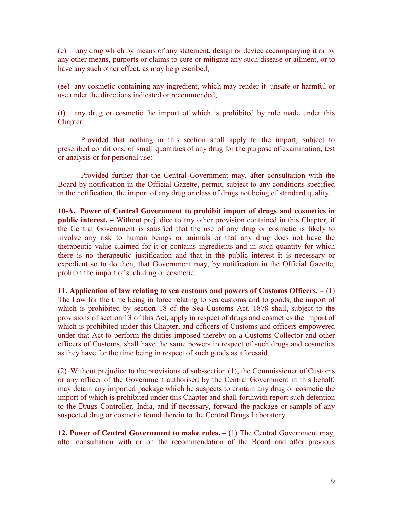(e) any drug which by means of any statement, design or device accompanying it or by any other means, purports or claims to cure or mitigate any such disease or ailment, or to have any such other effect, as may be prescribed;

(ee) any cosmetic containing any ingredient, which may render it unsafe or harmful or use under the directions indicated or recommended;

(f) any drug or cosmetic the import of which is prohibited by rule made under this Chapter:

Provided that nothing in this section shall apply to the import, subject to prescribed conditions, of small quantities of any drug for the purpose of examination, test or analysis or for personal use:

Provided further that the Central Government may, after consultation with the Board by notification in the Official Gazette, permit, subject to any conditions specified in the notification, the import of any drug or class of drugs not being of standard quality.

10-A. Power of Central Government to prohibit import of drugs and cosmetics in public interest. – Without prejudice to any other provision contained in this Chapter, if the Central Government is satisfied that the use of any drug or cosmetic is likely to involve any risk to human beings or animals or that any drug does not have the therapeutic value claimed for it or contains ingredients and in such quantity for which there is no therapeutic justification and that in the public interest it is necessary or expedient so to do then, that Government may, by notification in the Official Gazette, prohibit the import of such drug or cosmetic.

11. Application of law relating to sea customs and powers of Customs Officers. – (1) The Law for the time being in force relating to sea customs and to goods, the import of which is prohibited by section 18 of the Sea Customs Act, 1878 shall, subject to the provisions of section 13 of this Act, apply in respect of drugs and cosmetics the import of which is prohibited under this Chapter, and officers of Customs and officers empowered under that Act to perform the duties imposed thereby on a Customs Collector and other officers of Customs, shall have the same powers in respect of such drugs and cosmetics as they have for the time being in respect of such goods as aforesaid.

(2) Without prejudice to the provisions of sub-section (1), the Commissioner of Customs or any officer of the Government authorised by the Central Government in this behalf, may detain any imported package which he suspects to contain any drug or cosmetic the import of which is prohibited under this Chapter and shall forthwith report such detention to the Drugs Controller, India, and if necessary, forward the package or sample of any suspected drug or cosmetic found therein to the Central Drugs Laboratory.

12. Power of Central Government to make rules. – (1) The Central Government may, after consultation with or on the recommendation of the Board and after previous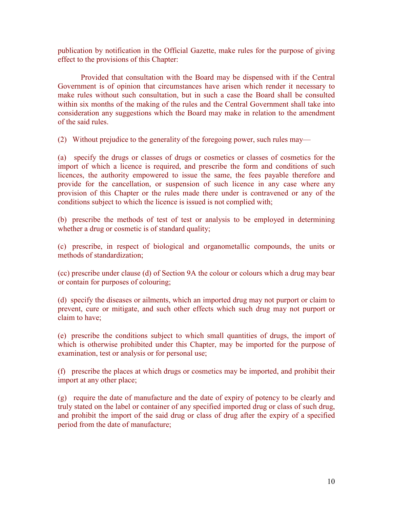publication by notification in the Official Gazette, make rules for the purpose of giving effect to the provisions of this Chapter:

Provided that consultation with the Board may be dispensed with if the Central Government is of opinion that circumstances have arisen which render it necessary to make rules without such consultation, but in such a case the Board shall be consulted within six months of the making of the rules and the Central Government shall take into consideration any suggestions which the Board may make in relation to the amendment of the said rules.

(2) Without prejudice to the generality of the foregoing power, such rules may—

(a) specify the drugs or classes of drugs or cosmetics or classes of cosmetics for the import of which a licence is required, and prescribe the form and conditions of such licences, the authority empowered to issue the same, the fees payable therefore and provide for the cancellation, or suspension of such licence in any case where any provision of this Chapter or the rules made there under is contravened or any of the conditions subject to which the licence is issued is not complied with;

(b) prescribe the methods of test of test or analysis to be employed in determining whether a drug or cosmetic is of standard quality;

(c) prescribe, in respect of biological and organometallic compounds, the units or methods of standardization;

(cc) prescribe under clause (d) of Section 9A the colour or colours which a drug may bear or contain for purposes of colouring;

(d) specify the diseases or ailments, which an imported drug may not purport or claim to prevent, cure or mitigate, and such other effects which such drug may not purport or claim to have;

(e) prescribe the conditions subject to which small quantities of drugs, the import of which is otherwise prohibited under this Chapter, may be imported for the purpose of examination, test or analysis or for personal use;

(f) prescribe the places at which drugs or cosmetics may be imported, and prohibit their import at any other place;

(g) require the date of manufacture and the date of expiry of potency to be clearly and truly stated on the label or container of any specified imported drug or class of such drug, and prohibit the import of the said drug or class of drug after the expiry of a specified period from the date of manufacture;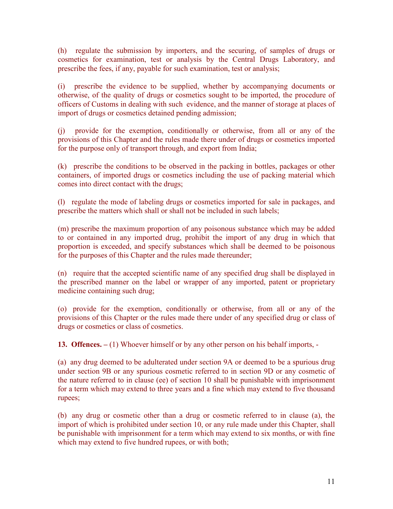(h) regulate the submission by importers, and the securing, of samples of drugs or cosmetics for examination, test or analysis by the Central Drugs Laboratory, and prescribe the fees, if any, payable for such examination, test or analysis;

(i) prescribe the evidence to be supplied, whether by accompanying documents or otherwise, of the quality of drugs or cosmetics sought to be imported, the procedure of officers of Customs in dealing with such evidence, and the manner of storage at places of import of drugs or cosmetics detained pending admission;

(j) provide for the exemption, conditionally or otherwise, from all or any of the provisions of this Chapter and the rules made there under of drugs or cosmetics imported for the purpose only of transport through, and export from India;

(k) prescribe the conditions to be observed in the packing in bottles, packages or other containers, of imported drugs or cosmetics including the use of packing material which comes into direct contact with the drugs;

(l) regulate the mode of labeling drugs or cosmetics imported for sale in packages, and prescribe the matters which shall or shall not be included in such labels;

(m) prescribe the maximum proportion of any poisonous substance which may be added to or contained in any imported drug, prohibit the import of any drug in which that proportion is exceeded, and specify substances which shall be deemed to be poisonous for the purposes of this Chapter and the rules made thereunder;

(n) require that the accepted scientific name of any specified drug shall be displayed in the prescribed manner on the label or wrapper of any imported, patent or proprietary medicine containing such drug;

(o) provide for the exemption, conditionally or otherwise, from all or any of the provisions of this Chapter or the rules made there under of any specified drug or class of drugs or cosmetics or class of cosmetics.

13. Offences. – (1) Whoever himself or by any other person on his behalf imports, -

(a) any drug deemed to be adulterated under section 9A or deemed to be a spurious drug under section 9B or any spurious cosmetic referred to in section 9D or any cosmetic of the nature referred to in clause (ee) of section 10 shall be punishable with imprisonment for a term which may extend to three years and a fine which may extend to five thousand rupees;

(b) any drug or cosmetic other than a drug or cosmetic referred to in clause (a), the import of which is prohibited under section 10, or any rule made under this Chapter, shall be punishable with imprisonment for a term which may extend to six months, or with fine which may extend to five hundred rupees, or with both;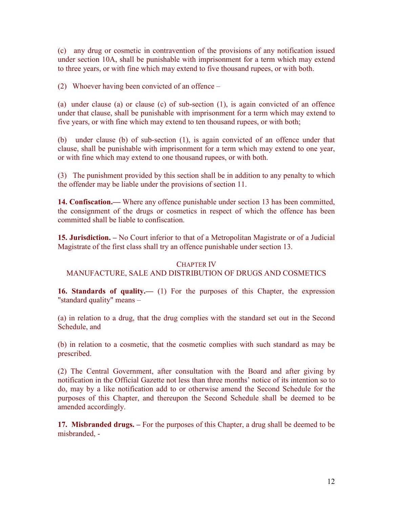(c) any drug or cosmetic in contravention of the provisions of any notification issued under section 10A, shall be punishable with imprisonment for a term which may extend to three years, or with fine which may extend to five thousand rupees, or with both.

(2) Whoever having been convicted of an offence –

(a) under clause (a) or clause (c) of sub-section (1), is again convicted of an offence under that clause, shall be punishable with imprisonment for a term which may extend to five years, or with fine which may extend to ten thousand rupees, or with both;

(b) under clause (b) of sub-section (1), is again convicted of an offence under that clause, shall be punishable with imprisonment for a term which may extend to one year, or with fine which may extend to one thousand rupees, or with both.

(3) The punishment provided by this section shall be in addition to any penalty to which the offender may be liable under the provisions of section 11.

14. Confiscation.— Where any offence punishable under section 13 has been committed, the consignment of the drugs or cosmetics in respect of which the offence has been committed shall be liable to confiscation.

15. Jurisdiction. – No Court inferior to that of a Metropolitan Magistrate or of a Judicial Magistrate of the first class shall try an offence punishable under section 13.

### CHAPTER IV

### MANUFACTURE, SALE AND DISTRIBUTION OF DRUGS AND COSMETICS

16. Standards of quality.— (1) For the purposes of this Chapter, the expression "standard quality" means –

(a) in relation to a drug, that the drug complies with the standard set out in the Second Schedule, and

(b) in relation to a cosmetic, that the cosmetic complies with such standard as may be prescribed.

(2) The Central Government, after consultation with the Board and after giving by notification in the Official Gazette not less than three months' notice of its intention so to do, may by a like notification add to or otherwise amend the Second Schedule for the purposes of this Chapter, and thereupon the Second Schedule shall be deemed to be amended accordingly.

17. Misbranded drugs. – For the purposes of this Chapter, a drug shall be deemed to be misbranded, -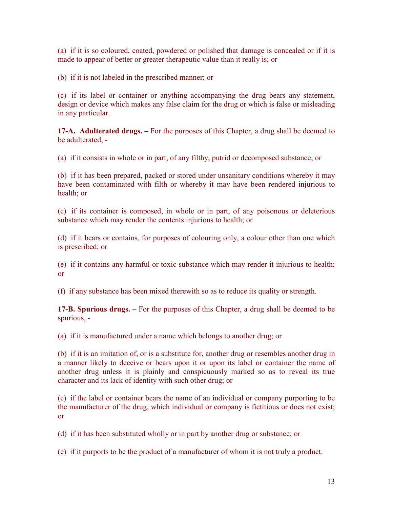(a) if it is so coloured, coated, powdered or polished that damage is concealed or if it is made to appear of better or greater therapeutic value than it really is; or

(b) if it is not labeled in the prescribed manner; or

(c) if its label or container or anything accompanying the drug bears any statement, design or device which makes any false claim for the drug or which is false or misleading in any particular.

17-A. Adulterated drugs. – For the purposes of this Chapter, a drug shall be deemed to  $be$  adulterated  $-$ 

(a) if it consists in whole or in part, of any filthy, putrid or decomposed substance; or

(b) if it has been prepared, packed or stored under unsanitary conditions whereby it may have been contaminated with filth or whereby it may have been rendered injurious to health; or

(c) if its container is composed, in whole or in part, of any poisonous or deleterious substance which may render the contents injurious to health; or

(d) if it bears or contains, for purposes of colouring only, a colour other than one which is prescribed; or

(e) if it contains any harmful or toxic substance which may render it injurious to health; or

(f) if any substance has been mixed therewith so as to reduce its quality or strength.

17-B. Spurious drugs. – For the purposes of this Chapter, a drug shall be deemed to be spurious, -

(a) if it is manufactured under a name which belongs to another drug; or

(b) if it is an imitation of, or is a substitute for, another drug or resembles another drug in a manner likely to deceive or bears upon it or upon its label or container the name of another drug unless it is plainly and conspicuously marked so as to reveal its true character and its lack of identity with such other drug; or

(c) if the label or container bears the name of an individual or company purporting to be the manufacturer of the drug, which individual or company is fictitious or does not exist; or

(d) if it has been substituted wholly or in part by another drug or substance; or

(e) if it purports to be the product of a manufacturer of whom it is not truly a product.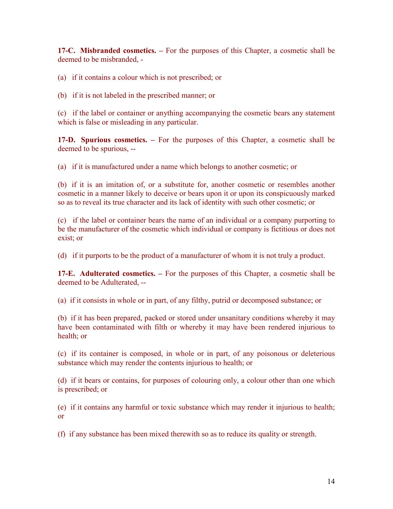17-C. Misbranded cosmetics. – For the purposes of this Chapter, a cosmetic shall be deemed to be misbranded, -

(a) if it contains a colour which is not prescribed; or

(b) if it is not labeled in the prescribed manner; or

(c) if the label or container or anything accompanying the cosmetic bears any statement which is false or misleading in any particular.

17-D. Spurious cosmetics. – For the purposes of this Chapter, a cosmetic shall be deemed to be spurious, --

(a) if it is manufactured under a name which belongs to another cosmetic; or

(b) if it is an imitation of, or a substitute for, another cosmetic or resembles another cosmetic in a manner likely to deceive or bears upon it or upon its conspicuously marked so as to reveal its true character and its lack of identity with such other cosmetic; or

(c) if the label or container bears the name of an individual or a company purporting to be the manufacturer of the cosmetic which individual or company is fictitious or does not exist; or

(d) if it purports to be the product of a manufacturer of whom it is not truly a product.

17-E. Adulterated cosmetics. – For the purposes of this Chapter, a cosmetic shall be deemed to be Adulterated, --

(a) if it consists in whole or in part, of any filthy, putrid or decomposed substance; or

(b) if it has been prepared, packed or stored under unsanitary conditions whereby it may have been contaminated with filth or whereby it may have been rendered injurious to health; or

(c) if its container is composed, in whole or in part, of any poisonous or deleterious substance which may render the contents injurious to health; or

(d) if it bears or contains, for purposes of colouring only, a colour other than one which is prescribed; or

(e) if it contains any harmful or toxic substance which may render it injurious to health; or

(f) if any substance has been mixed therewith so as to reduce its quality or strength.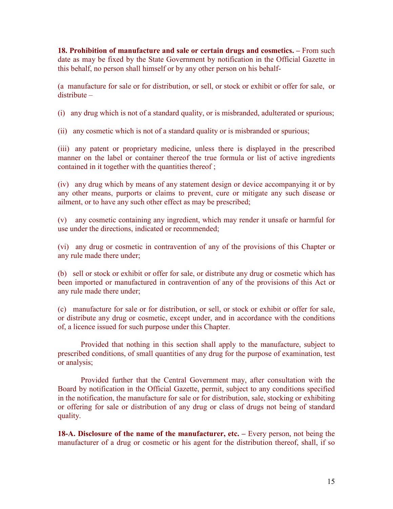18. Prohibition of manufacture and sale or certain drugs and cosmetics. – From such date as may be fixed by the State Government by notification in the Official Gazette in this behalf, no person shall himself or by any other person on his behalf-

(a manufacture for sale or for distribution, or sell, or stock or exhibit or offer for sale, or distribute –

(i) any drug which is not of a standard quality, or is misbranded, adulterated or spurious;

(ii) any cosmetic which is not of a standard quality or is misbranded or spurious;

(iii) any patent or proprietary medicine, unless there is displayed in the prescribed manner on the label or container thereof the true formula or list of active ingredients contained in it together with the quantities thereof ;

(iv) any drug which by means of any statement design or device accompanying it or by any other means, purports or claims to prevent, cure or mitigate any such disease or ailment, or to have any such other effect as may be prescribed;

(v) any cosmetic containing any ingredient, which may render it unsafe or harmful for use under the directions, indicated or recommended;

(vi) any drug or cosmetic in contravention of any of the provisions of this Chapter or any rule made there under;

(b) sell or stock or exhibit or offer for sale, or distribute any drug or cosmetic which has been imported or manufactured in contravention of any of the provisions of this Act or any rule made there under;

(c) manufacture for sale or for distribution, or sell, or stock or exhibit or offer for sale, or distribute any drug or cosmetic, except under, and in accordance with the conditions of, a licence issued for such purpose under this Chapter.

Provided that nothing in this section shall apply to the manufacture, subject to prescribed conditions, of small quantities of any drug for the purpose of examination, test or analysis;

Provided further that the Central Government may, after consultation with the Board by notification in the Official Gazette, permit, subject to any conditions specified in the notification, the manufacture for sale or for distribution, sale, stocking or exhibiting or offering for sale or distribution of any drug or class of drugs not being of standard quality.

18-A. Disclosure of the name of the manufacturer, etc. – Every person, not being the manufacturer of a drug or cosmetic or his agent for the distribution thereof, shall, if so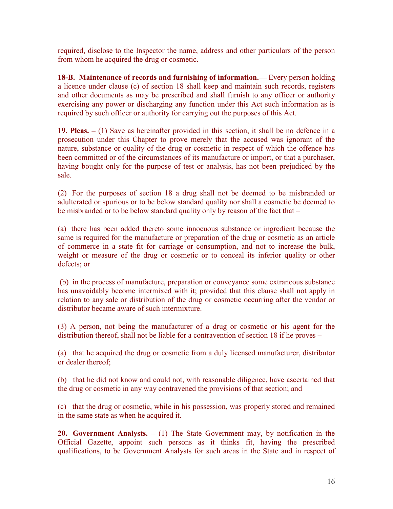required, disclose to the Inspector the name, address and other particulars of the person from whom he acquired the drug or cosmetic.

18-B. Maintenance of records and furnishing of information.— Every person holding a licence under clause (c) of section 18 shall keep and maintain such records, registers and other documents as may be prescribed and shall furnish to any officer or authority exercising any power or discharging any function under this Act such information as is required by such officer or authority for carrying out the purposes of this Act.

19. Pleas. – (1) Save as hereinafter provided in this section, it shall be no defence in a prosecution under this Chapter to prove merely that the accused was ignorant of the nature, substance or quality of the drug or cosmetic in respect of which the offence has been committed or of the circumstances of its manufacture or import, or that a purchaser, having bought only for the purpose of test or analysis, has not been prejudiced by the sale.

(2) For the purposes of section 18 a drug shall not be deemed to be misbranded or adulterated or spurious or to be below standard quality nor shall a cosmetic be deemed to be misbranded or to be below standard quality only by reason of the fact that –

(a) there has been added thereto some innocuous substance or ingredient because the same is required for the manufacture or preparation of the drug or cosmetic as an article of commerce in a state fit for carriage or consumption, and not to increase the bulk, weight or measure of the drug or cosmetic or to conceal its inferior quality or other defects; or

 (b) in the process of manufacture, preparation or conveyance some extraneous substance has unavoidably become intermixed with it; provided that this clause shall not apply in relation to any sale or distribution of the drug or cosmetic occurring after the vendor or distributor became aware of such intermixture.

(3) A person, not being the manufacturer of a drug or cosmetic or his agent for the distribution thereof, shall not be liable for a contravention of section 18 if he proves –

(a) that he acquired the drug or cosmetic from a duly licensed manufacturer, distributor or dealer thereof;

(b) that he did not know and could not, with reasonable diligence, have ascertained that the drug or cosmetic in any way contravened the provisions of that section; and

(c) that the drug or cosmetic, while in his possession, was properly stored and remained in the same state as when he acquired it.

**20. Government Analysts.**  $- (1)$  The State Government may, by notification in the Official Gazette, appoint such persons as it thinks fit, having the prescribed qualifications, to be Government Analysts for such areas in the State and in respect of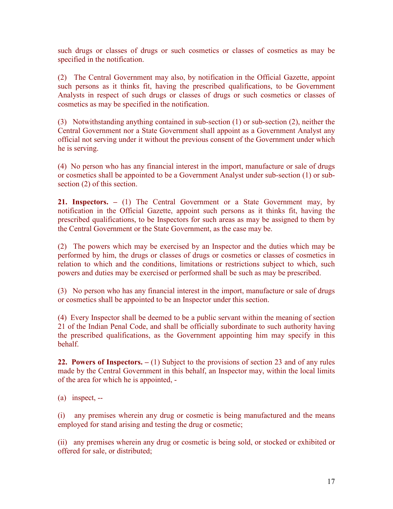such drugs or classes of drugs or such cosmetics or classes of cosmetics as may be specified in the notification.

(2) The Central Government may also, by notification in the Official Gazette, appoint such persons as it thinks fit, having the prescribed qualifications, to be Government Analysts in respect of such drugs or classes of drugs or such cosmetics or classes of cosmetics as may be specified in the notification.

(3) Notwithstanding anything contained in sub-section (1) or sub-section (2), neither the Central Government nor a State Government shall appoint as a Government Analyst any official not serving under it without the previous consent of the Government under which he is serving.

(4) No person who has any financial interest in the import, manufacture or sale of drugs or cosmetics shall be appointed to be a Government Analyst under sub-section (1) or subsection (2) of this section.

21. Inspectors. – (1) The Central Government or a State Government may, by notification in the Official Gazette, appoint such persons as it thinks fit, having the prescribed qualifications, to be Inspectors for such areas as may be assigned to them by the Central Government or the State Government, as the case may be.

(2) The powers which may be exercised by an Inspector and the duties which may be performed by him, the drugs or classes of drugs or cosmetics or classes of cosmetics in relation to which and the conditions, limitations or restrictions subject to which, such powers and duties may be exercised or performed shall be such as may be prescribed.

(3) No person who has any financial interest in the import, manufacture or sale of drugs or cosmetics shall be appointed to be an Inspector under this section.

(4) Every Inspector shall be deemed to be a public servant within the meaning of section 21 of the Indian Penal Code, and shall be officially subordinate to such authority having the prescribed qualifications, as the Government appointing him may specify in this behalf.

22. Powers of Inspectors.  $- (1)$  Subject to the provisions of section 23 and of any rules made by the Central Government in this behalf, an Inspector may, within the local limits of the area for which he is appointed, -

(a) inspect, --

(i) any premises wherein any drug or cosmetic is being manufactured and the means employed for stand arising and testing the drug or cosmetic;

(ii) any premises wherein any drug or cosmetic is being sold, or stocked or exhibited or offered for sale, or distributed;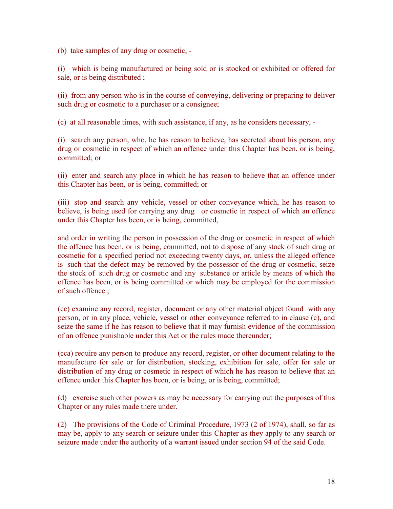(b) take samples of any drug or cosmetic, -

(i) which is being manufactured or being sold or is stocked or exhibited or offered for sale, or is being distributed ;

(ii) from any person who is in the course of conveying, delivering or preparing to deliver such drug or cosmetic to a purchaser or a consignee;

(c) at all reasonable times, with such assistance, if any, as he considers necessary, -

(i) search any person, who, he has reason to believe, has secreted about his person, any drug or cosmetic in respect of which an offence under this Chapter has been, or is being, committed; or

(ii) enter and search any place in which he has reason to believe that an offence under this Chapter has been, or is being, committed; or

(iii) stop and search any vehicle, vessel or other conveyance which, he has reason to believe, is being used for carrying any drug or cosmetic in respect of which an offence under this Chapter has been, or is being, committed,

and order in writing the person in possession of the drug or cosmetic in respect of which the offence has been, or is being, committed, not to dispose of any stock of such drug or cosmetic for a specified period not exceeding twenty days, or, unless the alleged offence is such that the defect may be removed by the possessor of the drug or cosmetic, seize the stock of such drug or cosmetic and any substance or article by means of which the offence has been, or is being committed or which may be employed for the commission of such offence ;

(cc) examine any record, register, document or any other material object found with any person, or in any place, vehicle, vessel or other conveyance referred to in clause (c), and seize the same if he has reason to believe that it may furnish evidence of the commission of an offence punishable under this Act or the rules made thereunder;

(cca) require any person to produce any record, register, or other document relating to the manufacture for sale or for distribution, stocking, exhibition for sale, offer for sale or distribution of any drug or cosmetic in respect of which he has reason to believe that an offence under this Chapter has been, or is being, or is being, committed;

(d) exercise such other powers as may be necessary for carrying out the purposes of this Chapter or any rules made there under.

(2) The provisions of the Code of Criminal Procedure, 1973 (2 of 1974), shall, so far as may be, apply to any search or seizure under this Chapter as they apply to any search or seizure made under the authority of a warrant issued under section 94 of the said Code.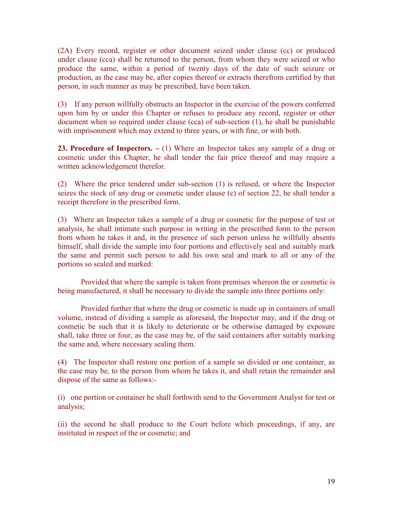(2A) Every record, register or other document seized under clause (cc) or produced under clause (cca) shall be returned to the person, from whom they were seized or who produce the same, within a period of twenty days of the date of such seizure or production, as the case may be, after copies thereof or extracts therefrom certified by that person, in such manner as may be prescribed, have been taken.

(3) If any person willfully obstructs an Inspector in the exercise of the powers conferred upon him by or under this Chapter or refuses to produce any record, register or other document when so required under clause (cca) of sub-section (1), he shall be punishable with imprisonment which may extend to three years, or with fine, or with both.

23. Procedure of Inspectors.  $- (1)$  Where an Inspector takes any sample of a drug or cosmetic under this Chapter, he shall tender the fair price thereof and may require a written acknowledgement therefor.

(2) Where the price tendered under sub-section (1) is refused, or where the Inspector seizes the stock of any drug or cosmetic under clause (c) of section 22, he shall tender a receipt therefore in the prescribed form.

(3) Where an Inspector takes a sample of a drug or cosmetic for the purpose of test or analysis, he shall intimate such purpose in writing in the prescribed form to the person from whom he takes it and, in the presence of such person unless he willfully absents himself, shall divide the sample into four portions and effectively seal and suitably mark the same and permit such person to add his own seal and mark to all or any of the portions so sealed and marked:

Provided that where the sample is taken from premises whereon the or cosmetic is being manufactured, it shall be necessary to divide the sample into three portions only:

Provided further that where the drug or cosmetic is made up in containers of small volume, instead of dividing a sample as aforesaid, the Inspector may, and if the drug or cosmetic be such that it is likely to deteriorate or be otherwise damaged by exposure shall, take three or four, as the case may be, of the said containers after suitably marking the same and, where necessary sealing them.

(4) The Inspector shall restore one portion of a sample so divided or one container, as the case may be, to the person from whom he takes it, and shall retain the remainder and dispose of the same as follows:-

(i) one portion or container he shall forthwith send to the Government Analyst for test or analysis;

(ii) the second he shall produce to the Court before which proceedings, if any, are instituted in respect of the or cosmetic; and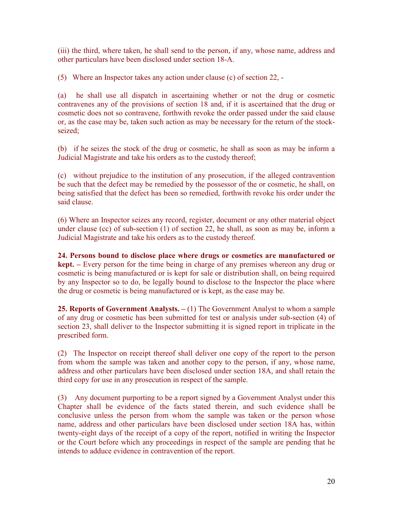(iii) the third, where taken, he shall send to the person, if any, whose name, address and other particulars have been disclosed under section 18-A.

(5) Where an Inspector takes any action under clause (c) of section 22, -

(a) he shall use all dispatch in ascertaining whether or not the drug or cosmetic contravenes any of the provisions of section 18 and, if it is ascertained that the drug or cosmetic does not so contravene, forthwith revoke the order passed under the said clause or, as the case may be, taken such action as may be necessary for the return of the stockseized;

(b) if he seizes the stock of the drug or cosmetic, he shall as soon as may be inform a Judicial Magistrate and take his orders as to the custody thereof;

(c) without prejudice to the institution of any prosecution, if the alleged contravention be such that the defect may be remedied by the possessor of the or cosmetic, he shall, on being satisfied that the defect has been so remedied, forthwith revoke his order under the said clause.

(6) Where an Inspector seizes any record, register, document or any other material object under clause (cc) of sub-section (1) of section 22, he shall, as soon as may be, inform a Judicial Magistrate and take his orders as to the custody thereof.

24. Persons bound to disclose place where drugs or cosmetics are manufactured or kept. – Every person for the time being in charge of any premises whereon any drug or cosmetic is being manufactured or is kept for sale or distribution shall, on being required by any Inspector so to do, be legally bound to disclose to the Inspector the place where the drug or cosmetic is being manufactured or is kept, as the case may be.

**25. Reports of Government Analysts.**  $- (1)$  The Government Analyst to whom a sample of any drug or cosmetic has been submitted for test or analysis under sub-section (4) of section 23, shall deliver to the Inspector submitting it is signed report in triplicate in the prescribed form.

(2) The Inspector on receipt thereof shall deliver one copy of the report to the person from whom the sample was taken and another copy to the person, if any, whose name, address and other particulars have been disclosed under section 18A, and shall retain the third copy for use in any prosecution in respect of the sample.

(3) Any document purporting to be a report signed by a Government Analyst under this Chapter shall be evidence of the facts stated therein, and such evidence shall be conclusive unless the person from whom the sample was taken or the person whose name, address and other particulars have been disclosed under section 18A has, within twenty-eight days of the receipt of a copy of the report, notified in writing the Inspector or the Court before which any proceedings in respect of the sample are pending that he intends to adduce evidence in contravention of the report.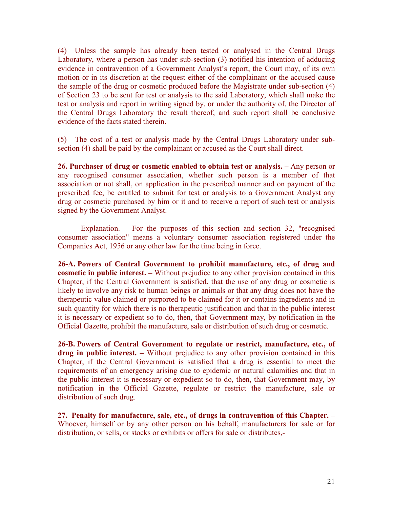(4) Unless the sample has already been tested or analysed in the Central Drugs Laboratory, where a person has under sub-section (3) notified his intention of adducing evidence in contravention of a Government Analyst's report, the Court may, of its own motion or in its discretion at the request either of the complainant or the accused cause the sample of the drug or cosmetic produced before the Magistrate under sub-section (4) of Section 23 to be sent for test or analysis to the said Laboratory, which shall make the test or analysis and report in writing signed by, or under the authority of, the Director of the Central Drugs Laboratory the result thereof, and such report shall be conclusive evidence of the facts stated therein.

(5) The cost of a test or analysis made by the Central Drugs Laboratory under subsection (4) shall be paid by the complainant or accused as the Court shall direct.

26. Purchaser of drug or cosmetic enabled to obtain test or analysis. – Any person or any recognised consumer association, whether such person is a member of that association or not shall, on application in the prescribed manner and on payment of the prescribed fee, be entitled to submit for test or analysis to a Government Analyst any drug or cosmetic purchased by him or it and to receive a report of such test or analysis signed by the Government Analyst.

Explanation. – For the purposes of this section and section 32, "recognised consumer association" means a voluntary consumer association registered under the Companies Act, 1956 or any other law for the time being in force.

26-A. Powers of Central Government to prohibit manufacture, etc., of drug and cosmetic in public interest. – Without prejudice to any other provision contained in this Chapter, if the Central Government is satisfied, that the use of any drug or cosmetic is likely to involve any risk to human beings or animals or that any drug does not have the therapeutic value claimed or purported to be claimed for it or contains ingredients and in such quantity for which there is no therapeutic justification and that in the public interest it is necessary or expedient so to do, then, that Government may, by notification in the Official Gazette, prohibit the manufacture, sale or distribution of such drug or cosmetic.

26-B. Powers of Central Government to regulate or restrict, manufacture, etc., of drug in public interest. – Without prejudice to any other provision contained in this Chapter, if the Central Government is satisfied that a drug is essential to meet the requirements of an emergency arising due to epidemic or natural calamities and that in the public interest it is necessary or expedient so to do, then, that Government may, by notification in the Official Gazette, regulate or restrict the manufacture, sale or distribution of such drug.

27. Penalty for manufacture, sale, etc., of drugs in contravention of this Chapter. – Whoever, himself or by any other person on his behalf, manufacturers for sale or for distribution, or sells, or stocks or exhibits or offers for sale or distributes,-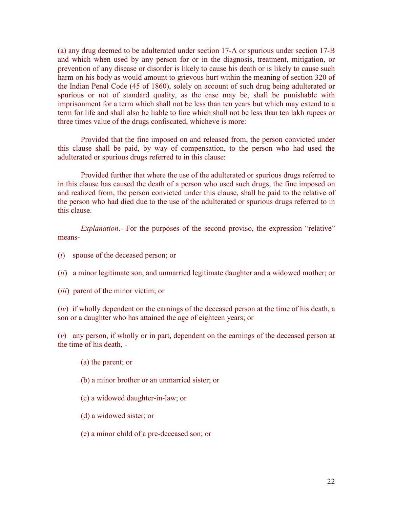(a) any drug deemed to be adulterated under section 17-A or spurious under section 17-B and which when used by any person for or in the diagnosis, treatment, mitigation, or prevention of any disease or disorder is likely to cause his death or is likely to cause such harm on his body as would amount to grievous hurt within the meaning of section 320 of the Indian Penal Code (45 of 1860), solely on account of such drug being adulterated or spurious or not of standard quality, as the case may be, shall be punishable with imprisonment for a term which shall not be less than ten years but which may extend to a term for life and shall also be liable to fine which shall not be less than ten lakh rupees or three times value of the drugs confiscated, whicheve is more:

 Provided that the fine imposed on and released from, the person convicted under this clause shall be paid, by way of compensation, to the person who had used the adulterated or spurious drugs referred to in this clause:

 Provided further that where the use of the adulterated or spurious drugs referred to in this clause has caused the death of a person who used such drugs, the fine imposed on and realized from, the person convicted under this clause, shall be paid to the relative of the person who had died due to the use of the adulterated or spurious drugs referred to in this clause.

Explanation.- For the purposes of the second proviso, the expression "relative" means-

- (i) spouse of the deceased person; or
- (ii) a minor legitimate son, and unmarried legitimate daughter and a widowed mother; or
- (iii) parent of the minor victim; or

 $(iv)$  if wholly dependent on the earnings of the deceased person at the time of his death, a son or a daughter who has attained the age of eighteen years; or

(v) any person, if wholly or in part, dependent on the earnings of the deceased person at the time of his death, -

- (a) the parent; or
- (b) a minor brother or an unmarried sister; or
- (c) a widowed daughter-in-law; or
- (d) a widowed sister; or
- (e) a minor child of a pre-deceased son; or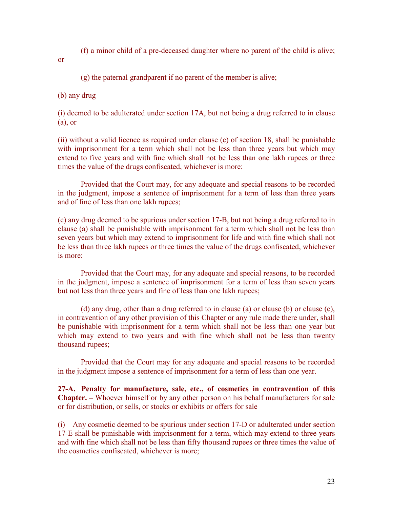(f) a minor child of a pre-deceased daughter where no parent of the child is alive;

or

(g) the paternal grandparent if no parent of the member is alive;

 $(b)$  any drug —

(i) deemed to be adulterated under section 17A, but not being a drug referred to in clause (a), or

(ii) without a valid licence as required under clause (c) of section 18, shall be punishable with imprisonment for a term which shall not be less than three years but which may extend to five years and with fine which shall not be less than one lakh rupees or three times the value of the drugs confiscated, whichever is more:

Provided that the Court may, for any adequate and special reasons to be recorded in the judgment, impose a sentence of imprisonment for a term of less than three years and of fine of less than one lakh rupees;

(c) any drug deemed to be spurious under section 17-B, but not being a drug referred to in clause (a) shall be punishable with imprisonment for a term which shall not be less than seven years but which may extend to imprisonment for life and with fine which shall not be less than three lakh rupees or three times the value of the drugs confiscated, whichever is more:

Provided that the Court may, for any adequate and special reasons, to be recorded in the judgment, impose a sentence of imprisonment for a term of less than seven years but not less than three years and fine of less than one lakh rupees;

(d) any drug, other than a drug referred to in clause (a) or clause (b) or clause (c), in contravention of any other provision of this Chapter or any rule made there under, shall be punishable with imprisonment for a term which shall not be less than one year but which may extend to two years and with fine which shall not be less than twenty thousand rupees;

Provided that the Court may for any adequate and special reasons to be recorded in the judgment impose a sentence of imprisonment for a term of less than one year.

27-A. Penalty for manufacture, sale, etc., of cosmetics in contravention of this Chapter. – Whoever himself or by any other person on his behalf manufacturers for sale or for distribution, or sells, or stocks or exhibits or offers for sale –

(i) Any cosmetic deemed to be spurious under section 17-D or adulterated under section 17-E shall be punishable with imprisonment for a term, which may extend to three years and with fine which shall not be less than fifty thousand rupees or three times the value of the cosmetics confiscated, whichever is more;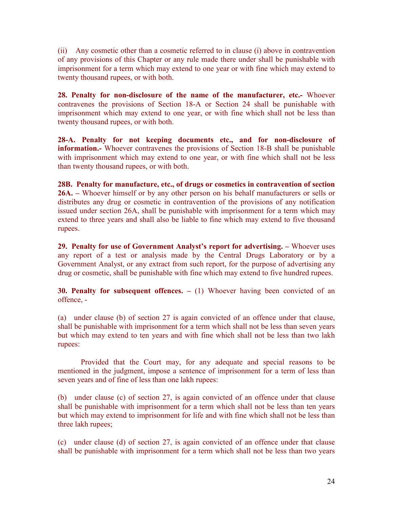(ii) Any cosmetic other than a cosmetic referred to in clause (i) above in contravention of any provisions of this Chapter or any rule made there under shall be punishable with imprisonment for a term which may extend to one year or with fine which may extend to twenty thousand rupees, or with both.

28. Penalty for non-disclosure of the name of the manufacturer, etc.- Whoever contravenes the provisions of Section 18-A or Section 24 shall be punishable with imprisonment which may extend to one year, or with fine which shall not be less than twenty thousand rupees, or with both.

28-A. Penalty for not keeping documents etc., and for non-disclosure of information.- Whoever contravenes the provisions of Section 18-B shall be punishable with imprisonment which may extend to one year, or with fine which shall not be less than twenty thousand rupees, or with both.

28B. Penalty for manufacture, etc., of drugs or cosmetics in contravention of section 26A. – Whoever himself or by any other person on his behalf manufacturers or sells or distributes any drug or cosmetic in contravention of the provisions of any notification issued under section 26A, shall be punishable with imprisonment for a term which may extend to three years and shall also be liable to fine which may extend to five thousand rupees.

29. Penalty for use of Government Analyst's report for advertising. – Whoever uses any report of a test or analysis made by the Central Drugs Laboratory or by a Government Analyst, or any extract from such report, for the purpose of advertising any drug or cosmetic, shall be punishable with fine which may extend to five hundred rupees.

30. Penalty for subsequent offences.  $- (1)$  Whoever having been convicted of an offence, -

(a) under clause (b) of section 27 is again convicted of an offence under that clause, shall be punishable with imprisonment for a term which shall not be less than seven years but which may extend to ten years and with fine which shall not be less than two lakh rupees:

Provided that the Court may, for any adequate and special reasons to be mentioned in the judgment, impose a sentence of imprisonment for a term of less than seven years and of fine of less than one lakh rupees:

(b) under clause (c) of section 27, is again convicted of an offence under that clause shall be punishable with imprisonment for a term which shall not be less than ten years but which may extend to imprisonment for life and with fine which shall not be less than three lakh rupees;

(c) under clause (d) of section 27, is again convicted of an offence under that clause shall be punishable with imprisonment for a term which shall not be less than two years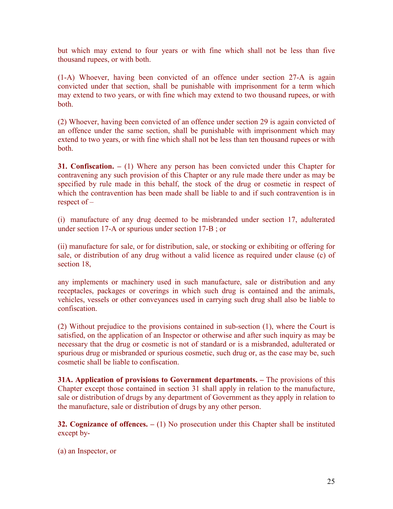but which may extend to four years or with fine which shall not be less than five thousand rupees, or with both.

(1-A) Whoever, having been convicted of an offence under section 27-A is again convicted under that section, shall be punishable with imprisonment for a term which may extend to two years, or with fine which may extend to two thousand rupees, or with both.

(2) Whoever, having been convicted of an offence under section 29 is again convicted of an offence under the same section, shall be punishable with imprisonment which may extend to two years, or with fine which shall not be less than ten thousand rupees or with both.

**31. Confiscation.**  $- (1)$  Where any person has been convicted under this Chapter for contravening any such provision of this Chapter or any rule made there under as may be specified by rule made in this behalf, the stock of the drug or cosmetic in respect of which the contravention has been made shall be liable to and if such contravention is in respect of –

(i) manufacture of any drug deemed to be misbranded under section 17, adulterated under section 17-A or spurious under section 17-B ; or

(ii) manufacture for sale, or for distribution, sale, or stocking or exhibiting or offering for sale, or distribution of any drug without a valid licence as required under clause (c) of section 18,

any implements or machinery used in such manufacture, sale or distribution and any receptacles, packages or coverings in which such drug is contained and the animals, vehicles, vessels or other conveyances used in carrying such drug shall also be liable to confiscation.

(2) Without prejudice to the provisions contained in sub-section (1), where the Court is satisfied, on the application of an Inspector or otherwise and after such inquiry as may be necessary that the drug or cosmetic is not of standard or is a misbranded, adulterated or spurious drug or misbranded or spurious cosmetic, such drug or, as the case may be, such cosmetic shall be liable to confiscation.

31A. Application of provisions to Government departments. – The provisions of this Chapter except those contained in section 31 shall apply in relation to the manufacture, sale or distribution of drugs by any department of Government as they apply in relation to the manufacture, sale or distribution of drugs by any other person.

**32. Cognizance of offences.**  $- (1)$  No prosecution under this Chapter shall be instituted except by-

(a) an Inspector, or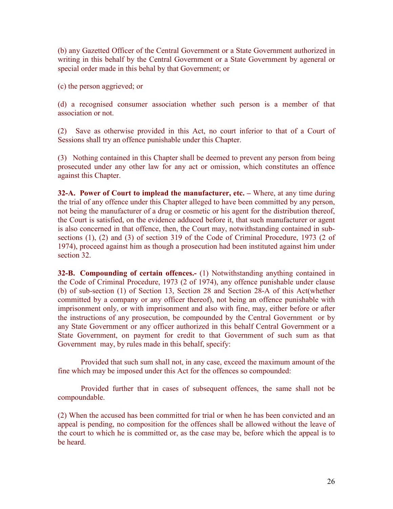(b) any Gazetted Officer of the Central Government or a State Government authorized in writing in this behalf by the Central Government or a State Government by ageneral or special order made in this behal by that Government; or

(c) the person aggrieved; or

(d) a recognised consumer association whether such person is a member of that association or not.

(2) Save as otherwise provided in this Act, no court inferior to that of a Court of Sessions shall try an offence punishable under this Chapter.

(3) Nothing contained in this Chapter shall be deemed to prevent any person from being prosecuted under any other law for any act or omission, which constitutes an offence against this Chapter.

32-A. Power of Court to implead the manufacturer, etc. – Where, at any time during the trial of any offence under this Chapter alleged to have been committed by any person, not being the manufacturer of a drug or cosmetic or his agent for the distribution thereof, the Court is satisfied, on the evidence adduced before it, that such manufacturer or agent is also concerned in that offence, then, the Court may, notwithstanding contained in subsections (1), (2) and (3) of section 319 of the Code of Criminal Procedure, 1973 (2 of 1974), proceed against him as though a prosecution had been instituted against him under section 32.

32-B. Compounding of certain offences.- (1) Notwithstanding anything contained in the Code of Criminal Procedure, 1973 (2 of 1974), any offence punishable under clause (b) of sub-section (1) of Section 13, Section 28 and Section 28-A of this Act(whether committed by a company or any officer thereof), not being an offence punishable with imprisonment only, or with imprisonment and also with fine, may, either before or after the instructions of any prosecution, be compounded by the Central Government or by any State Government or any officer authorized in this behalf Central Government or a State Government, on payment for credit to that Government of such sum as that Government may, by rules made in this behalf, specify:

 Provided that such sum shall not, in any case, exceed the maximum amount of the fine which may be imposed under this Act for the offences so compounded:

 Provided further that in cases of subsequent offences, the same shall not be compoundable.

(2) When the accused has been committed for trial or when he has been convicted and an appeal is pending, no composition for the offences shall be allowed without the leave of the court to which he is committed or, as the case may be, before which the appeal is to be heard.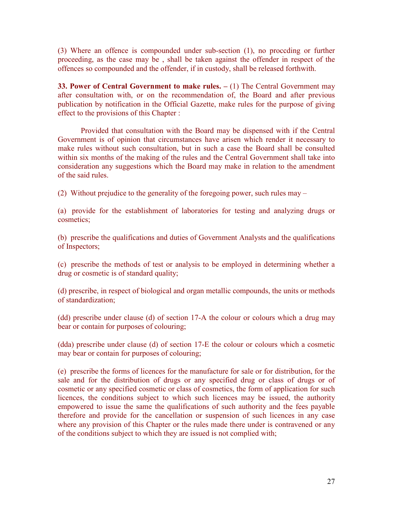(3) Where an offence is compounded under sub-section (1), no proccding or further proceeding, as the case may be , shall be taken against the offender in respect of the offences so compounded and the offender, if in custody, shall be released forthwith.

33. Power of Central Government to make rules.  $- (1)$  The Central Government may after consultation with, or on the recommendation of, the Board and after previous publication by notification in the Official Gazette, make rules for the purpose of giving effect to the provisions of this Chapter :

Provided that consultation with the Board may be dispensed with if the Central Government is of opinion that circumstances have arisen which render it necessary to make rules without such consultation, but in such a case the Board shall be consulted within six months of the making of the rules and the Central Government shall take into consideration any suggestions which the Board may make in relation to the amendment of the said rules.

(2) Without prejudice to the generality of the foregoing power, such rules may –

(a) provide for the establishment of laboratories for testing and analyzing drugs or cosmetics;

(b) prescribe the qualifications and duties of Government Analysts and the qualifications of Inspectors;

(c) prescribe the methods of test or analysis to be employed in determining whether a drug or cosmetic is of standard quality;

(d) prescribe, in respect of biological and organ metallic compounds, the units or methods of standardization;

(dd) prescribe under clause (d) of section 17-A the colour or colours which a drug may bear or contain for purposes of colouring;

(dda) prescribe under clause (d) of section 17-E the colour or colours which a cosmetic may bear or contain for purposes of colouring;

(e) prescribe the forms of licences for the manufacture for sale or for distribution, for the sale and for the distribution of drugs or any specified drug or class of drugs or of cosmetic or any specified cosmetic or class of cosmetics, the form of application for such licences, the conditions subject to which such licences may be issued, the authority empowered to issue the same the qualifications of such authority and the fees payable therefore and provide for the cancellation or suspension of such licences in any case where any provision of this Chapter or the rules made there under is contravened or any of the conditions subject to which they are issued is not complied with;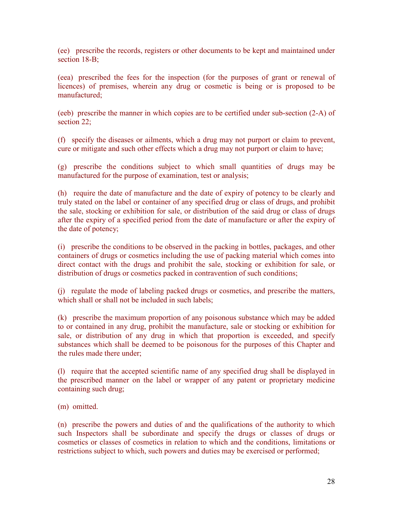(ee) prescribe the records, registers or other documents to be kept and maintained under section 18-B:

(eea) prescribed the fees for the inspection (for the purposes of grant or renewal of licences) of premises, wherein any drug or cosmetic is being or is proposed to be manufactured;

(eeb) prescribe the manner in which copies are to be certified under sub-section (2-A) of section 22;

(f) specify the diseases or ailments, which a drug may not purport or claim to prevent, cure or mitigate and such other effects which a drug may not purport or claim to have;

(g) prescribe the conditions subject to which small quantities of drugs may be manufactured for the purpose of examination, test or analysis;

(h) require the date of manufacture and the date of expiry of potency to be clearly and truly stated on the label or container of any specified drug or class of drugs, and prohibit the sale, stocking or exhibition for sale, or distribution of the said drug or class of drugs after the expiry of a specified period from the date of manufacture or after the expiry of the date of potency;

(i) prescribe the conditions to be observed in the packing in bottles, packages, and other containers of drugs or cosmetics including the use of packing material which comes into direct contact with the drugs and prohibit the sale, stocking or exhibition for sale, or distribution of drugs or cosmetics packed in contravention of such conditions;

(j) regulate the mode of labeling packed drugs or cosmetics, and prescribe the matters, which shall or shall not be included in such labels;

(k) prescribe the maximum proportion of any poisonous substance which may be added to or contained in any drug, prohibit the manufacture, sale or stocking or exhibition for sale, or distribution of any drug in which that proportion is exceeded, and specify substances which shall be deemed to be poisonous for the purposes of this Chapter and the rules made there under;

(l) require that the accepted scientific name of any specified drug shall be displayed in the prescribed manner on the label or wrapper of any patent or proprietary medicine containing such drug;

(m) omitted.

(n) prescribe the powers and duties of and the qualifications of the authority to which such Inspectors shall be subordinate and specify the drugs or classes of drugs or cosmetics or classes of cosmetics in relation to which and the conditions, limitations or restrictions subject to which, such powers and duties may be exercised or performed;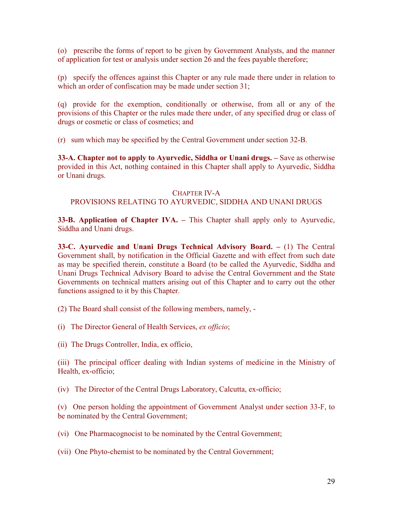(o) prescribe the forms of report to be given by Government Analysts, and the manner of application for test or analysis under section 26 and the fees payable therefore;

(p) specify the offences against this Chapter or any rule made there under in relation to which an order of confiscation may be made under section 31;

(q) provide for the exemption, conditionally or otherwise, from all or any of the provisions of this Chapter or the rules made there under, of any specified drug or class of drugs or cosmetic or class of cosmetics; and

(r) sum which may be specified by the Central Government under section 32-B.

33-A. Chapter not to apply to Ayurvedic, Siddha or Unani drugs. – Save as otherwise provided in this Act, nothing contained in this Chapter shall apply to Ayurvedic, Siddha or Unani drugs.

#### CHAPTER IV-A

### PROVISIONS RELATING TO AYURVEDIC, SIDDHA AND UNANI DRUGS

33-B. Application of Chapter IVA. – This Chapter shall apply only to Ayurvedic, Siddha and Unani drugs.

33-C. Ayurvedic and Unani Drugs Technical Advisory Board. – (1) The Central Government shall, by notification in the Official Gazette and with effect from such date as may be specified therein, constitute a Board (to be called the Ayurvedic, Siddha and Unani Drugs Technical Advisory Board to advise the Central Government and the State Governments on technical matters arising out of this Chapter and to carry out the other functions assigned to it by this Chapter.

(2) The Board shall consist of the following members, namely, -

(i) The Director General of Health Services, ex officio;

(ii) The Drugs Controller, India, ex officio,

(iii) The principal officer dealing with Indian systems of medicine in the Ministry of Health, ex-officio;

(iv) The Director of the Central Drugs Laboratory, Calcutta, ex-officio;

(v) One person holding the appointment of Government Analyst under section 33-F, to be nominated by the Central Government;

(vi) One Pharmacognocist to be nominated by the Central Government;

(vii) One Phyto-chemist to be nominated by the Central Government;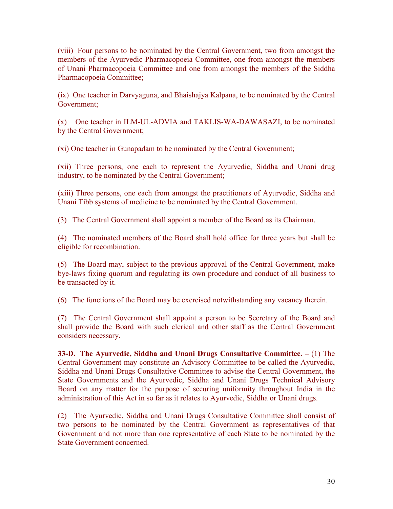(viii) Four persons to be nominated by the Central Government, two from amongst the members of the Ayurvedic Pharmacopoeia Committee, one from amongst the members of Unani Pharmacopoeia Committee and one from amongst the members of the Siddha Pharmacopoeia Committee;

(ix) One teacher in Darvyaguna, and Bhaishajya Kalpana, to be nominated by the Central Government;

(x) One teacher in ILM-UL-ADVIA and TAKLIS-WA-DAWASAZI, to be nominated by the Central Government;

(xi) One teacher in Gunapadam to be nominated by the Central Government;

(xii) Three persons, one each to represent the Ayurvedic, Siddha and Unani drug industry, to be nominated by the Central Government;

(xiii) Three persons, one each from amongst the practitioners of Ayurvedic, Siddha and Unani Tibb systems of medicine to be nominated by the Central Government.

(3) The Central Government shall appoint a member of the Board as its Chairman.

(4) The nominated members of the Board shall hold office for three years but shall be eligible for recombination.

(5) The Board may, subject to the previous approval of the Central Government, make bye-laws fixing quorum and regulating its own procedure and conduct of all business to be transacted by it.

(6) The functions of the Board may be exercised notwithstanding any vacancy therein.

(7) The Central Government shall appoint a person to be Secretary of the Board and shall provide the Board with such clerical and other staff as the Central Government considers necessary.

33-D. The Ayurvedic, Siddha and Unani Drugs Consultative Committee. – (1) The Central Government may constitute an Advisory Committee to be called the Ayurvedic, Siddha and Unani Drugs Consultative Committee to advise the Central Government, the State Governments and the Ayurvedic, Siddha and Unani Drugs Technical Advisory Board on any matter for the purpose of securing uniformity throughout India in the administration of this Act in so far as it relates to Ayurvedic, Siddha or Unani drugs.

(2) The Ayurvedic, Siddha and Unani Drugs Consultative Committee shall consist of two persons to be nominated by the Central Government as representatives of that Government and not more than one representative of each State to be nominated by the State Government concerned.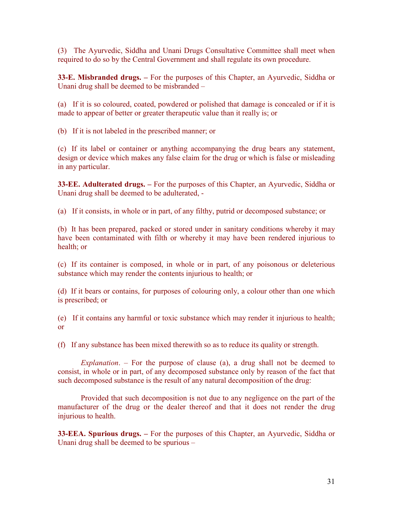(3) The Ayurvedic, Siddha and Unani Drugs Consultative Committee shall meet when required to do so by the Central Government and shall regulate its own procedure.

33-E. Misbranded drugs. – For the purposes of this Chapter, an Ayurvedic, Siddha or Unani drug shall be deemed to be misbranded –

(a) If it is so coloured, coated, powdered or polished that damage is concealed or if it is made to appear of better or greater therapeutic value than it really is; or

(b) If it is not labeled in the prescribed manner; or

(c) If its label or container or anything accompanying the drug bears any statement, design or device which makes any false claim for the drug or which is false or misleading in any particular.

33-EE. Adulterated drugs. – For the purposes of this Chapter, an Ayurvedic, Siddha or Unani drug shall be deemed to be adulterated, -

(a) If it consists, in whole or in part, of any filthy, putrid or decomposed substance; or

(b) It has been prepared, packed or stored under in sanitary conditions whereby it may have been contaminated with filth or whereby it may have been rendered injurious to health; or

(c) If its container is composed, in whole or in part, of any poisonous or deleterious substance which may render the contents injurious to health; or

(d) If it bears or contains, for purposes of colouring only, a colour other than one which is prescribed; or

(e) If it contains any harmful or toxic substance which may render it injurious to health; or

(f) If any substance has been mixed therewith so as to reduce its quality or strength.

Explanation. – For the purpose of clause (a), a drug shall not be deemed to consist, in whole or in part, of any decomposed substance only by reason of the fact that such decomposed substance is the result of any natural decomposition of the drug:

Provided that such decomposition is not due to any negligence on the part of the manufacturer of the drug or the dealer thereof and that it does not render the drug injurious to health.

33-EEA. Spurious drugs. – For the purposes of this Chapter, an Ayurvedic, Siddha or Unani drug shall be deemed to be spurious –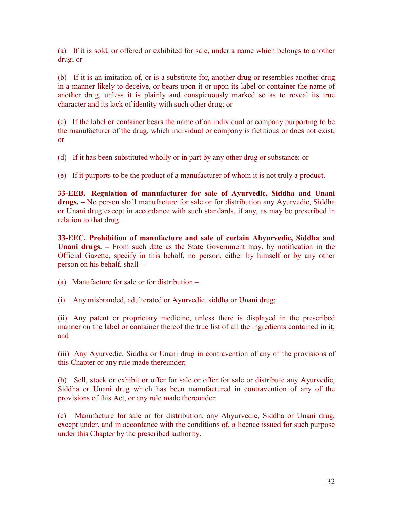(a) If it is sold, or offered or exhibited for sale, under a name which belongs to another drug; or

(b) If it is an imitation of, or is a substitute for, another drug or resembles another drug in a manner likely to deceive, or bears upon it or upon its label or container the name of another drug, unless it is plainly and conspicuously marked so as to reveal its true character and its lack of identity with such other drug; or

(c) If the label or container bears the name of an individual or company purporting to be the manufacturer of the drug, which individual or company is fictitious or does not exist; or

(d) If it has been substituted wholly or in part by any other drug or substance; or

(e) If it purports to be the product of a manufacturer of whom it is not truly a product.

33-EEB. Regulation of manufacturer for sale of Ayurvedic, Siddha and Unani drugs. – No person shall manufacture for sale or for distribution any Ayurvedic, Siddha or Unani drug except in accordance with such standards, if any, as may be prescribed in relation to that drug.

33-EEC. Prohibition of manufacture and sale of certain Ahyurvedic, Siddha and Unani drugs. – From such date as the State Government may, by notification in the Official Gazette, specify in this behalf, no person, either by himself or by any other person on his behalf, shall –

(i) Any misbranded, adulterated or Ayurvedic, siddha or Unani drug;

(ii) Any patent or proprietary medicine, unless there is displayed in the prescribed manner on the label or container thereof the true list of all the ingredients contained in it; and

(iii) Any Ayurvedic, Siddha or Unani drug in contravention of any of the provisions of this Chapter or any rule made thereunder;

(b) Sell, stock or exhibit or offer for sale or offer for sale or distribute any Ayurvedic, Siddha or Unani drug which has been manufactured in contravention of any of the provisions of this Act, or any rule made thereunder:

(c) Manufacture for sale or for distribution, any Ahyurvedic, Siddha or Unani drug, except under, and in accordance with the conditions of, a licence issued for such purpose under this Chapter by the prescribed authority.

<sup>(</sup>a) Manufacture for sale or for distribution –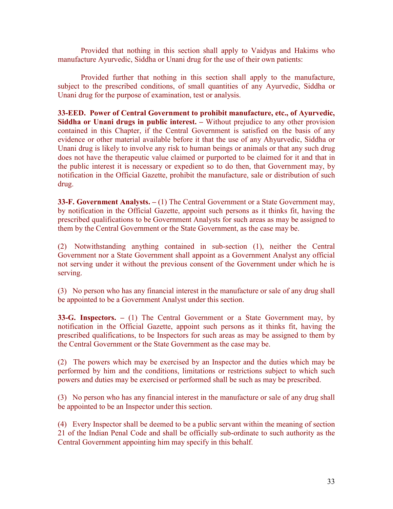Provided that nothing in this section shall apply to Vaidyas and Hakims who manufacture Ayurvedic, Siddha or Unani drug for the use of their own patients:

Provided further that nothing in this section shall apply to the manufacture, subject to the prescribed conditions, of small quantities of any Ayurvedic, Siddha or Unani drug for the purpose of examination, test or analysis.

33-EED. Power of Central Government to prohibit manufacture, etc., of Ayurvedic, Siddha or Unani drugs in public interest. – Without prejudice to any other provision contained in this Chapter, if the Central Government is satisfied on the basis of any evidence or other material available before it that the use of any Ahyurvedic, Siddha or Unani drug is likely to involve any risk to human beings or animals or that any such drug does not have the therapeutic value claimed or purported to be claimed for it and that in the public interest it is necessary or expedient so to do then, that Government may, by notification in the Official Gazette, prohibit the manufacture, sale or distribution of such drug.

33-F. Government Analysts.  $- (1)$  The Central Government or a State Government may, by notification in the Official Gazette, appoint such persons as it thinks fit, having the prescribed qualifications to be Government Analysts for such areas as may be assigned to them by the Central Government or the State Government, as the case may be.

(2) Notwithstanding anything contained in sub-section (1), neither the Central Government nor a State Government shall appoint as a Government Analyst any official not serving under it without the previous consent of the Government under which he is serving.

(3) No person who has any financial interest in the manufacture or sale of any drug shall be appointed to be a Government Analyst under this section.

33-G. Inspectors. – (1) The Central Government or a State Government may, by notification in the Official Gazette, appoint such persons as it thinks fit, having the prescribed qualifications, to be Inspectors for such areas as may be assigned to them by the Central Government or the State Government as the case may be.

(2) The powers which may be exercised by an Inspector and the duties which may be performed by him and the conditions, limitations or restrictions subject to which such powers and duties may be exercised or performed shall be such as may be prescribed.

(3) No person who has any financial interest in the manufacture or sale of any drug shall be appointed to be an Inspector under this section.

(4) Every Inspector shall be deemed to be a public servant within the meaning of section 21 of the Indian Penal Code and shall be officially sub-ordinate to such authority as the Central Government appointing him may specify in this behalf.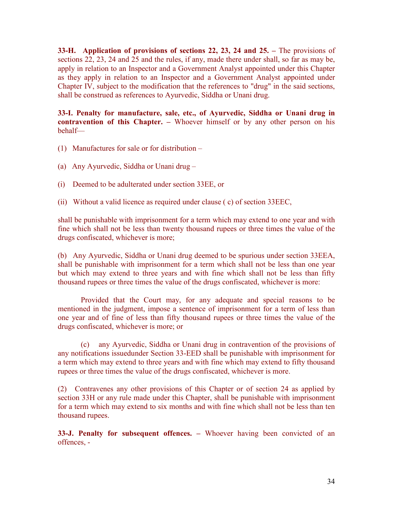33-H. Application of provisions of sections 22, 23, 24 and 25. – The provisions of sections 22, 23, 24 and 25 and the rules, if any, made there under shall, so far as may be, apply in relation to an Inspector and a Government Analyst appointed under this Chapter as they apply in relation to an Inspector and a Government Analyst appointed under Chapter IV, subject to the modification that the references to "drug" in the said sections, shall be construed as references to Ayurvedic, Siddha or Unani drug.

33-I. Penalty for manufacture, sale, etc., of Ayurvedic, Siddha or Unani drug in contravention of this Chapter. – Whoever himself or by any other person on his behalf—

- (1) Manufactures for sale or for distribution –
- (a) Any Ayurvedic, Siddha or Unani drug –
- (i) Deemed to be adulterated under section 33EE, or
- (ii) Without a valid licence as required under clause ( c) of section 33EEC,

shall be punishable with imprisonment for a term which may extend to one year and with fine which shall not be less than twenty thousand rupees or three times the value of the drugs confiscated, whichever is more;

(b) Any Ayurvedic, Siddha or Unani drug deemed to be spurious under section 33EEA, shall be punishable with imprisonment for a term which shall not be less than one year but which may extend to three years and with fine which shall not be less than fifty thousand rupees or three times the value of the drugs confiscated, whichever is more:

Provided that the Court may, for any adequate and special reasons to be mentioned in the judgment, impose a sentence of imprisonment for a term of less than one year and of fine of less than fifty thousand rupees or three times the value of the drugs confiscated, whichever is more; or

(c) any Ayurvedic, Siddha or Unani drug in contravention of the provisions of any notifications issuedunder Section 33-EED shall be punishable with imprisonment for a term which may extend to three years and with fine which may extend to fifty thousand rupees or three times the value of the drugs confiscated, whichever is more.

(2) Contravenes any other provisions of this Chapter or of section 24 as applied by section 33H or any rule made under this Chapter, shall be punishable with imprisonment for a term which may extend to six months and with fine which shall not be less than ten thousand rupees.

33-J. Penalty for subsequent offences. – Whoever having been convicted of an offences, -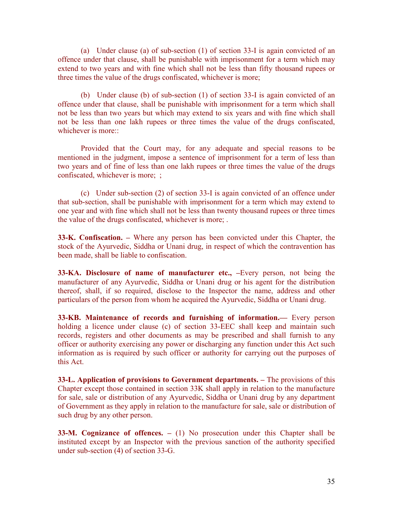(a) Under clause (a) of sub-section (1) of section 33-I is again convicted of an offence under that clause, shall be punishable with imprisonment for a term which may extend to two years and with fine which shall not be less than fifty thousand rupees or three times the value of the drugs confiscated, whichever is more;

(b) Under clause (b) of sub-section (1) of section 33-I is again convicted of an offence under that clause, shall be punishable with imprisonment for a term which shall not be less than two years but which may extend to six years and with fine which shall not be less than one lakh rupees or three times the value of the drugs confiscated, whichever is more::

Provided that the Court may, for any adequate and special reasons to be mentioned in the judgment, impose a sentence of imprisonment for a term of less than two years and of fine of less than one lakh rupees or three times the value of the drugs confiscated, whichever is more; ;

(c) Under sub-section (2) of section 33-I is again convicted of an offence under that sub-section, shall be punishable with imprisonment for a term which may extend to one year and with fine which shall not be less than twenty thousand rupees or three times the value of the drugs confiscated, whichever is more; .

33-K. Confiscation. – Where any person has been convicted under this Chapter, the stock of the Ayurvedic, Siddha or Unani drug, in respect of which the contravention has been made, shall be liable to confiscation.

33-KA. Disclosure of name of manufacturer etc., –Every person, not being the manufacturer of any Ayurvedic, Siddha or Unani drug or his agent for the distribution thereof, shall, if so required, disclose to the Inspector the name, address and other particulars of the person from whom he acquired the Ayurvedic, Siddha or Unani drug.

33-KB. Maintenance of records and furnishing of information.— Every person holding a licence under clause (c) of section 33-EEC shall keep and maintain such records, registers and other documents as may be prescribed and shall furnish to any officer or authority exercising any power or discharging any function under this Act such information as is required by such officer or authority for carrying out the purposes of this Act.

33-L. Application of provisions to Government departments. – The provisions of this Chapter except those contained in section 33K shall apply in relation to the manufacture for sale, sale or distribution of any Ayurvedic, Siddha or Unani drug by any department of Government as they apply in relation to the manufacture for sale, sale or distribution of such drug by any other person.

33-M. Cognizance of offences. – (1) No prosecution under this Chapter shall be instituted except by an Inspector with the previous sanction of the authority specified under sub-section (4) of section 33-G.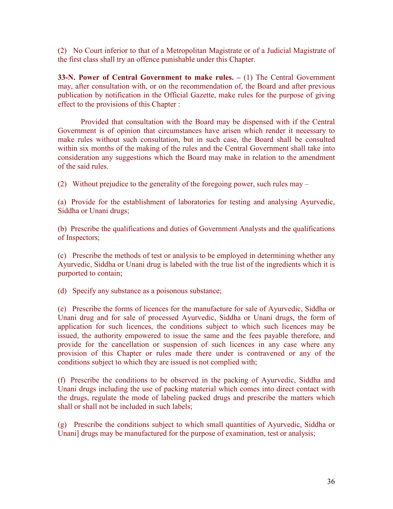(2) No Court inferior to that of a Metropolitan Magistrate or of a Judicial Magistrate of the first class shall try an offence punishable under this Chapter.

33-N. Power of Central Government to make rules. – (1) The Central Government may, after consultation with, or on the recommendation of, the Board and after previous publication by notification in the Official Gazette, make rules for the purpose of giving effect to the provisions of this Chapter :

Provided that consultation with the Board may be dispensed with if the Central Government is of opinion that circumstances have arisen which render it necessary to make rules without such consultation, but in such case, the Board shall be consulted within six months of the making of the rules and the Central Government shall take into consideration any suggestions which the Board may make in relation to the amendment of the said rules.

(2) Without prejudice to the generality of the foregoing power, such rules may –

(a) Provide for the establishment of laboratories for testing and analysing Ayurvedic, Siddha or Unani drugs;

(b) Prescribe the qualifications and duties of Government Analysts and the qualifications of Inspectors;

(c) Prescribe the methods of test or analysis to be employed in determining whether any Ayurvedic, Siddha or Unani drug is labeled with the true list of the ingredients which it is purported to contain;

(d) Specify any substance as a poisonous substance;

(e) Prescribe the forms of licences for the manufacture for sale of Ayurvedic, Siddha or Unani drug and for sale of processed Ayurvedic, Siddha or Unani drugs, the form of application for such licences, the conditions subject to which such licences may be issued, the authority empowered to issue the same and the fees payable therefore, and provide for the cancellation or suspension of such licences in any case where any provision of this Chapter or rules made there under is contravened or any of the conditions subject to which they are issued is not complied with;

(f) Prescribe the conditions to be observed in the packing of Ayurvedic, Siddha and Unani drugs including the use of packing material which comes into direct contact with the drugs, regulate the mode of labeling packed drugs and prescribe the matters which shall or shall not be included in such labels;

(g) Prescribe the conditions subject to which small quantities of Ayurvedic, Siddha or Unani] drugs may be manufactured for the purpose of examination, test or analysis;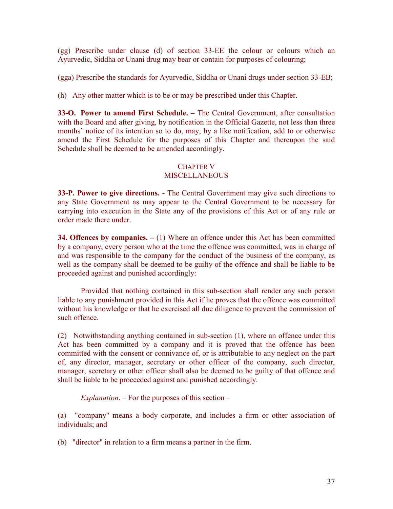(gg) Prescribe under clause (d) of section 33-EE the colour or colours which an Ayurvedic, Siddha or Unani drug may bear or contain for purposes of colouring;

(gga) Prescribe the standards for Ayurvedic, Siddha or Unani drugs under section 33-EB;

(h) Any other matter which is to be or may be prescribed under this Chapter.

33-O. Power to amend First Schedule. – The Central Government, after consultation with the Board and after giving, by notification in the Official Gazette, not less than three months' notice of its intention so to do, may, by a like notification, add to or otherwise amend the First Schedule for the purposes of this Chapter and thereupon the said Schedule shall be deemed to be amended accordingly.

### CHAPTER V MISCELLANEOUS

33-P. Power to give directions. - The Central Government may give such directions to any State Government as may appear to the Central Government to be necessary for carrying into execution in the State any of the provisions of this Act or of any rule or order made there under.

34. Offences by companies.  $- (1)$  Where an offence under this Act has been committed by a company, every person who at the time the offence was committed, was in charge of and was responsible to the company for the conduct of the business of the company, as well as the company shall be deemed to be guilty of the offence and shall be liable to be proceeded against and punished accordingly:

Provided that nothing contained in this sub-section shall render any such person liable to any punishment provided in this Act if he proves that the offence was committed without his knowledge or that he exercised all due diligence to prevent the commission of such offence.

(2) Notwithstanding anything contained in sub-section (1), where an offence under this Act has been committed by a company and it is proved that the offence has been committed with the consent or connivance of, or is attributable to any neglect on the part of, any director, manager, secretary or other officer of the company, such director, manager, secretary or other officer shall also be deemed to be guilty of that offence and shall be liable to be proceeded against and punished accordingly.

Explanation.  $-$  For the purposes of this section  $-$ 

(a) "company" means a body corporate, and includes a firm or other association of individuals; and

(b) "director" in relation to a firm means a partner in the firm.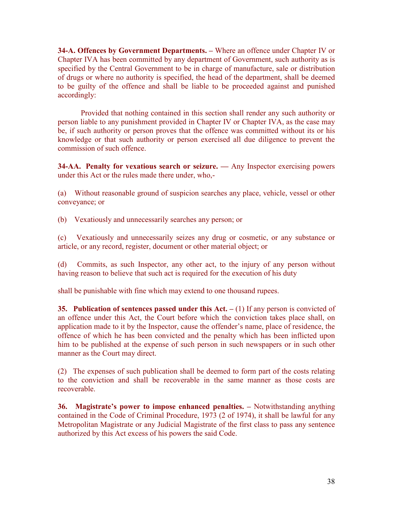34-A. Offences by Government Departments. – Where an offence under Chapter IV or Chapter IVA has been committed by any department of Government, such authority as is specified by the Central Government to be in charge of manufacture, sale or distribution of drugs or where no authority is specified, the head of the department, shall be deemed to be guilty of the offence and shall be liable to be proceeded against and punished accordingly:

Provided that nothing contained in this section shall render any such authority or person liable to any punishment provided in Chapter IV or Chapter IVA, as the case may be, if such authority or person proves that the offence was committed without its or his knowledge or that such authority or person exercised all due diligence to prevent the commission of such offence.

34-AA. Penalty for vexatious search or seizure. — Any Inspector exercising powers under this Act or the rules made there under, who,-

(a) Without reasonable ground of suspicion searches any place, vehicle, vessel or other conveyance; or

(b) Vexatiously and unnecessarily searches any person; or

(c) Vexatiously and unnecessarily seizes any drug or cosmetic, or any substance or article, or any record, register, document or other material object; or

(d) Commits, as such Inspector, any other act, to the injury of any person without having reason to believe that such act is required for the execution of his duty

shall be punishable with fine which may extend to one thousand rupees.

35. Publication of sentences passed under this  $Act. - (1)$  If any person is convicted of an offence under this Act, the Court before which the conviction takes place shall, on application made to it by the Inspector, cause the offender's name, place of residence, the offence of which he has been convicted and the penalty which has been inflicted upon him to be published at the expense of such person in such newspapers or in such other manner as the Court may direct.

(2) The expenses of such publication shall be deemed to form part of the costs relating to the conviction and shall be recoverable in the same manner as those costs are recoverable.

36. Magistrate's power to impose enhanced penalties. – Notwithstanding anything contained in the Code of Criminal Procedure, 1973 (2 of 1974), it shall be lawful for any Metropolitan Magistrate or any Judicial Magistrate of the first class to pass any sentence authorized by this Act excess of his powers the said Code.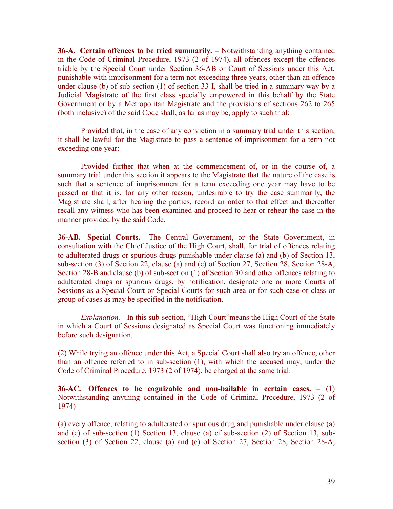36-A. Certain offences to be tried summarily. – Notwithstanding anything contained in the Code of Criminal Procedure, 1973 (2 of 1974), all offences except the offences triable by the Special Court under Section 36-AB or Court of Sessions under this Act, punishable with imprisonment for a term not exceeding three years, other than an offence under clause (b) of sub-section (1) of section 33-I, shall be tried in a summary way by a Judicial Magistrate of the first class specially empowered in this behalf by the State Government or by a Metropolitan Magistrate and the provisions of sections 262 to 265 (both inclusive) of the said Code shall, as far as may be, apply to such trial:

Provided that, in the case of any conviction in a summary trial under this section, it shall be lawful for the Magistrate to pass a sentence of imprisonment for a term not exceeding one year:

Provided further that when at the commencement of, or in the course of, a summary trial under this section it appears to the Magistrate that the nature of the case is such that a sentence of imprisonment for a term exceeding one year may have to be passed or that it is, for any other reason, undesirable to try the case summarily, the Magistrate shall, after hearing the parties, record an order to that effect and thereafter recall any witness who has been examined and proceed to hear or rehear the case in the manner provided by the said Code.

36-AB. Special Courts. –The Central Government, or the State Government, in consultation with the Chief Justice of the High Court, shall, for trial of offences relating to adulterated drugs or spurious drugs punishable under clause (a) and (b) of Section 13, sub-section (3) of Section 22, clause (a) and (c) of Section 27, Section 28, Section 28-A, Section 28-B and clause (b) of sub-section (1) of Section 30 and other offences relating to adulterated drugs or spurious drugs, by notification, designate one or more Courts of Sessions as a Special Court or Special Courts for such area or for such case or class or group of cases as may be specified in the notification.

Explanation.- In this sub-section, "High Court"means the High Court of the State in which a Court of Sessions designated as Special Court was functioning immediately before such designation.

(2) While trying an offence under this Act, a Special Court shall also try an offence, other than an offence referred to in sub-section (1), with which the accused may, under the Code of Criminal Procedure, 1973 (2 of 1974), be charged at the same trial.

36-AC. Offences to be cognizable and non-bailable in certain cases.  $-$  (1) Notwithstanding anything contained in the Code of Criminal Procedure, 1973 (2 of 1974)-

(a) every offence, relating to adulterated or spurious drug and punishable under clause (a) and (c) of sub-section (1) Section 13, clause (a) of sub-section (2) of Section 13, subsection (3) of Section 22, clause (a) and (c) of Section 27, Section 28, Section 28-A,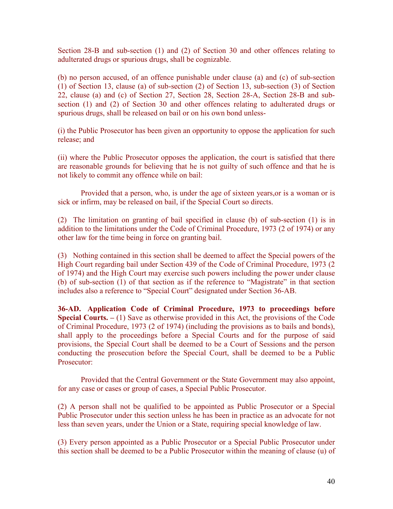Section 28-B and sub-section (1) and (2) of Section 30 and other offences relating to adulterated drugs or spurious drugs, shall be cognizable.

(b) no person accused, of an offence punishable under clause (a) and (c) of sub-section (1) of Section 13, clause (a) of sub-section (2) of Section 13, sub-section (3) of Section 22, clause (a) and (c) of Section 27, Section 28, Section 28-A, Section 28-B and subsection (1) and (2) of Section 30 and other offences relating to adulterated drugs or spurious drugs, shall be released on bail or on his own bond unless-

(i) the Public Prosecutor has been given an opportunity to oppose the application for such release; and

(ii) where the Public Prosecutor opposes the application, the court is satisfied that there are reasonable grounds for believing that he is not guilty of such offence and that he is not likely to commit any offence while on bail:

 Provided that a person, who, is under the age of sixteen years,or is a woman or is sick or infirm, may be released on bail, if the Special Court so directs.

(2) The limitation on granting of bail specified in clause (b) of sub-section (1) is in addition to the limitations under the Code of Criminal Procedure, 1973 (2 of 1974) or any other law for the time being in force on granting bail.

(3) Nothing contained in this section shall be deemed to affect the Special powers of the High Court regarding bail under Section 439 of the Code of Criminal Procedure, 1973 (2 of 1974) and the High Court may exercise such powers including the power under clause (b) of sub-section (1) of that section as if the reference to "Magistrate" in that section includes also a reference to "Special Court" designated under Section 36-AB.

36-AD. Application Code of Criminal Procedure, 1973 to proceedings before **Special Courts.**  $- (1)$  Save as otherwise provided in this Act, the provisions of the Code of Criminal Procedure, 1973 (2 of 1974) (including the provisions as to bails and bonds), shall apply to the proceedings before a Special Courts and for the purpose of said provisions, the Special Court shall be deemed to be a Court of Sessions and the person conducting the prosecution before the Special Court, shall be deemed to be a Public Prosecutor:

 Provided that the Central Government or the State Government may also appoint, for any case or cases or group of cases, a Special Public Prosecutor.

(2) A person shall not be qualified to be appointed as Public Prosecutor or a Special Public Prosecutor under this section unless he has been in practice as an advocate for not less than seven years, under the Union or a State, requiring special knowledge of law.

(3) Every person appointed as a Public Prosecutor or a Special Public Prosecutor under this section shall be deemed to be a Public Prosecutor within the meaning of clause (u) of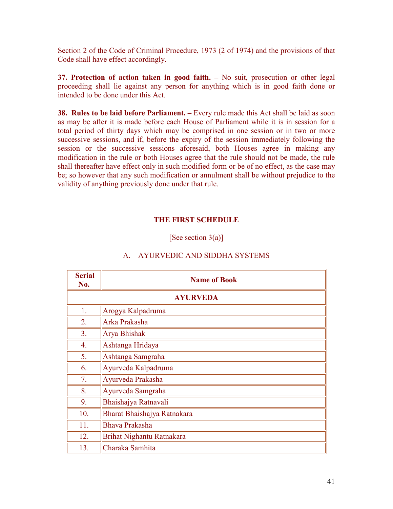Section 2 of the Code of Criminal Procedure, 1973 (2 of 1974) and the provisions of that Code shall have effect accordingly.

37. Protection of action taken in good faith. – No suit, prosecution or other legal proceeding shall lie against any person for anything which is in good faith done or intended to be done under this Act.

38. Rules to be laid before Parliament. – Every rule made this Act shall be laid as soon as may be after it is made before each House of Parliament while it is in session for a total period of thirty days which may be comprised in one session or in two or more successive sessions, and if, before the expiry of the session immediately following the session or the successive sessions aforesaid, both Houses agree in making any modification in the rule or both Houses agree that the rule should not be made, the rule shall thereafter have effect only in such modified form or be of no effect, as the case may be; so however that any such modification or annulment shall be without prejudice to the validity of anything previously done under that rule.

### THE FIRST SCHEDULE

[See section  $3(a)$ ]

| <b>Serial</b><br>No. | <b>Name of Book</b>         |  |  |  |  |  |
|----------------------|-----------------------------|--|--|--|--|--|
| <b>AYURVEDA</b>      |                             |  |  |  |  |  |
| 1.                   | Arogya Kalpadruma           |  |  |  |  |  |
| 2.                   | Arka Prakasha               |  |  |  |  |  |
| 3 <sub>1</sub>       | Arya Bhishak                |  |  |  |  |  |
| 4.                   | Ashtanga Hridaya            |  |  |  |  |  |
| 5.                   | Ashtanga Samgraha           |  |  |  |  |  |
| 6.                   | Ayurveda Kalpadruma         |  |  |  |  |  |
| 7 <sub>1</sub>       | Ayurveda Prakasha           |  |  |  |  |  |
| 8.                   | Ayurveda Samgraha           |  |  |  |  |  |
| 9.                   | Bhaishajya Ratnavali        |  |  |  |  |  |
| 10.                  | Bharat Bhaishajya Ratnakara |  |  |  |  |  |
| 11.                  | Bhava Prakasha              |  |  |  |  |  |
| 12.                  | Brihat Nighantu Ratnakara   |  |  |  |  |  |
| 13.                  | Charaka Samhita             |  |  |  |  |  |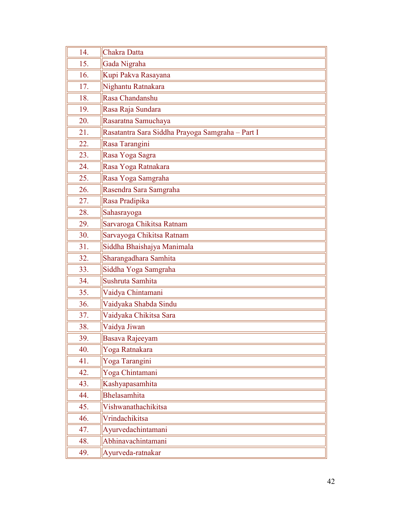| 14. | Chakra Datta                                     |  |  |  |  |  |  |
|-----|--------------------------------------------------|--|--|--|--|--|--|
| 15. | Gada Nigraha                                     |  |  |  |  |  |  |
| 16. | Kupi Pakva Rasayana                              |  |  |  |  |  |  |
| 17. | Nighantu Ratnakara                               |  |  |  |  |  |  |
| 18. | Rasa Chandanshu                                  |  |  |  |  |  |  |
| 19. | Rasa Raja Sundara                                |  |  |  |  |  |  |
| 20. | Rasaratna Samuchaya                              |  |  |  |  |  |  |
| 21. | Rasatantra Sara Siddha Prayoga Samgraha - Part I |  |  |  |  |  |  |
| 22. | Rasa Tarangini                                   |  |  |  |  |  |  |
| 23. | Rasa Yoga Sagra                                  |  |  |  |  |  |  |
| 24. | Rasa Yoga Ratnakara                              |  |  |  |  |  |  |
| 25. | Rasa Yoga Samgraha                               |  |  |  |  |  |  |
| 26. | Rasendra Sara Samgraha                           |  |  |  |  |  |  |
| 27. | Rasa Pradipika                                   |  |  |  |  |  |  |
| 28. | Sahasrayoga                                      |  |  |  |  |  |  |
| 29. | Sarvaroga Chikitsa Ratnam                        |  |  |  |  |  |  |
| 30. | Sarvayoga Chikitsa Ratnam                        |  |  |  |  |  |  |
| 31. | Siddha Bhaishajya Manimala                       |  |  |  |  |  |  |
| 32. | Sharangadhara Samhita                            |  |  |  |  |  |  |
| 33. | Siddha Yoga Samgraha                             |  |  |  |  |  |  |
| 34. | Sushruta Samhita                                 |  |  |  |  |  |  |
| 35. | Vaidya Chintamani                                |  |  |  |  |  |  |
| 36. | Vaidyaka Shabda Sindu                            |  |  |  |  |  |  |
| 37. | Vaidyaka Chikitsa Sara                           |  |  |  |  |  |  |
| 38. | Vaidya Jiwan                                     |  |  |  |  |  |  |
| 39. | Basava Rajeeyam                                  |  |  |  |  |  |  |
| 40. | Yoga Ratnakara                                   |  |  |  |  |  |  |
| 41. | Yoga Tarangini                                   |  |  |  |  |  |  |
| 42. | Yoga Chintamani                                  |  |  |  |  |  |  |
| 43. | Kashyapasamhita                                  |  |  |  |  |  |  |
| 44. | Bhelasamhita                                     |  |  |  |  |  |  |
| 45. | Vishwanathachikitsa                              |  |  |  |  |  |  |
| 46. | Vrindachikitsa                                   |  |  |  |  |  |  |
| 47. | Ayurvedachintamani                               |  |  |  |  |  |  |
| 48. | Abhinavachintamani                               |  |  |  |  |  |  |
| 49. | Ayurveda-ratnakar                                |  |  |  |  |  |  |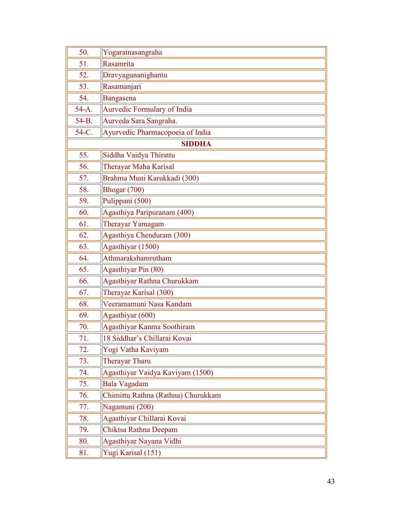| 50.           | Yogaratnasangraha                  |  |  |  |  |  |
|---------------|------------------------------------|--|--|--|--|--|
| 51.           | Rasamrita                          |  |  |  |  |  |
| 52.           | Dravyagunanighantu                 |  |  |  |  |  |
| 53.           | Rasamanjari                        |  |  |  |  |  |
| 54.           | Bangasena                          |  |  |  |  |  |
| $54-A.$       | Aurvedic Formulary of India        |  |  |  |  |  |
| 54-B.         | Aurveda Sara Sangraha.             |  |  |  |  |  |
| 54-C.         | Ayurvedic Pharmacopoeia of India   |  |  |  |  |  |
| <b>SIDDHA</b> |                                    |  |  |  |  |  |
| 55.           | Siddha Vaidya Thirattu             |  |  |  |  |  |
| 56.           | Therayar Maha Karisal              |  |  |  |  |  |
| 57.           | Brahma Muni Karukkadi (300)        |  |  |  |  |  |
| 58.           | Bhogar (700)                       |  |  |  |  |  |
| 59.           | Pulippani (500)                    |  |  |  |  |  |
| 60.           | Agasthiya Paripuranam (400)        |  |  |  |  |  |
| 61.           | Therayar Yamagam                   |  |  |  |  |  |
| 62.           | Agasthiya Chenduram (300)          |  |  |  |  |  |
| 63.           | Agasthiyar (1500)                  |  |  |  |  |  |
| 64.           | Athmarakshamrutham                 |  |  |  |  |  |
| 65.           | Agasthiyar Pin (80)                |  |  |  |  |  |
| 66.           | Agasthiyar Rathna Churukkam        |  |  |  |  |  |
| 67.           | Therayar Karisal (300)             |  |  |  |  |  |
| 68.           | Veeramamuni Nasa Kandam            |  |  |  |  |  |
| 69.           | Agasthiyar (600)                   |  |  |  |  |  |
| 70.           | Agasthiyar Kanma Soothiram         |  |  |  |  |  |
| 71.           | 18 Siddhar's Chillarai Kovai       |  |  |  |  |  |
| 72.           | Yogi Vatha Kaviyam                 |  |  |  |  |  |
| 73.           | Therayar Tharu                     |  |  |  |  |  |
| 74.           | Agasthiyar Vaidya Kaviyam (1500)   |  |  |  |  |  |
| 75.           | Bala Vagadam                       |  |  |  |  |  |
| 76.           | Chimittu Rathna (Rathna) Churukkam |  |  |  |  |  |
| 77.           | Nagamuni (200)                     |  |  |  |  |  |
| 78.           | Agasthiyar Chillarai Kovai         |  |  |  |  |  |
| 79.           | Chiktsa Rathna Deepam              |  |  |  |  |  |
| 80.           | Agasthiyar Nayana Vidhi            |  |  |  |  |  |
| 81.           | Yugi Karisal (151)                 |  |  |  |  |  |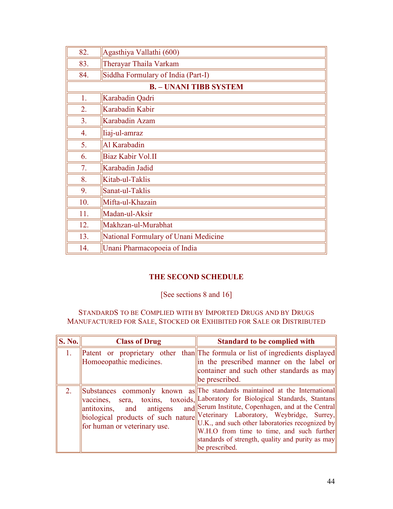| 82.                           | Agasthiya Vallathi (600)             |  |  |  |  |  |
|-------------------------------|--------------------------------------|--|--|--|--|--|
| 83.                           | Therayar Thaila Varkam               |  |  |  |  |  |
| 84.                           | Siddha Formulary of India (Part-I)   |  |  |  |  |  |
| <b>B.</b> - UNANI TIBB SYSTEM |                                      |  |  |  |  |  |
| 1.                            | Karabadin Qadri                      |  |  |  |  |  |
| 2.                            | Karabadin Kabir                      |  |  |  |  |  |
| 3 <sub>1</sub>                | Karabadin Azam                       |  |  |  |  |  |
| 4.                            | liaj-ul-amraz                        |  |  |  |  |  |
| 5 <sub>1</sub>                | Al Karabadin                         |  |  |  |  |  |
| 6.                            | Biaz Kabir Vol.II                    |  |  |  |  |  |
| 7.                            | Karabadin Jadid                      |  |  |  |  |  |
| 8.                            | Kitab-ul-Taklis                      |  |  |  |  |  |
| 9.                            | Sanat-ul-Taklis                      |  |  |  |  |  |
| 10.                           | Mifta-ul-Khazain                     |  |  |  |  |  |
| 11.                           | Madan-ul-Aksir                       |  |  |  |  |  |
| 12.                           | Makhzan-ul-Murabhat                  |  |  |  |  |  |
| 13.                           | National Formulary of Unani Medicine |  |  |  |  |  |
| 14.                           | Unani Pharmacopoeia of India         |  |  |  |  |  |

## THE SECOND SCHEDULE

## [See sections 8 and 16]

### STANDARDS TO BE COMPLIED WITH BY IMPORTED DRUGS AND BY DRUGS MANUFACTURED FOR SALE, STOCKED OR EXHIBITED FOR SALE OR DISTRIBUTED

| $\vert$ S. No. $\vert$ | <b>Class of Drug</b>                                        | <b>Standard to be complied with</b>                                                                                                                                                                                                                                                                                                                                                                                                                                                 |
|------------------------|-------------------------------------------------------------|-------------------------------------------------------------------------------------------------------------------------------------------------------------------------------------------------------------------------------------------------------------------------------------------------------------------------------------------------------------------------------------------------------------------------------------------------------------------------------------|
| $1_{-}$                | Homoeopathic medicines.                                     | <b>Patent</b> or proprietary other than The formula or list of ingredients displayed<br>in the prescribed manner on the label or<br>container and such other standards as may<br>be prescribed.                                                                                                                                                                                                                                                                                     |
| 2.                     | antitoxins,<br>and antigens<br>for human or veterinary use. | Substances commonly known as The standards maintained at the International<br>vaccines, sera, toxins, toxoids, Laboratory for Biological Standards, Stantans<br>and Serum Institute, Copenhagen, and at the Central<br>biological products of such nature Veterinary Laboratory, Weybridge, Surrey,<br>$ U.K.$ , and such other laboratories recognized by<br>$\ W.H.O\ $ from time to time, and such further<br>standards of strength, quality and purity as may<br>be prescribed. |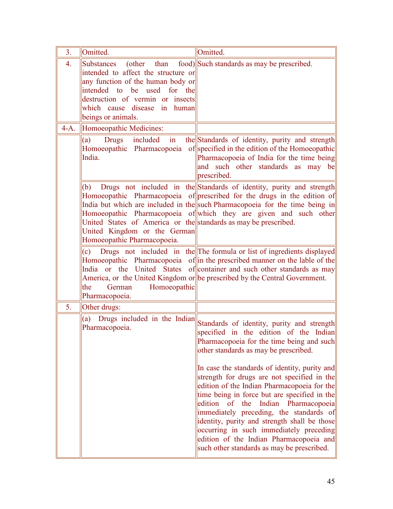| 3 <sub>1</sub>   | Omitted.                                                                                                                                                                                                                            | Omitted.                                                                                                                                                                                                                                                                                                                                                                                                                                                                                                                                                               |
|------------------|-------------------------------------------------------------------------------------------------------------------------------------------------------------------------------------------------------------------------------------|------------------------------------------------------------------------------------------------------------------------------------------------------------------------------------------------------------------------------------------------------------------------------------------------------------------------------------------------------------------------------------------------------------------------------------------------------------------------------------------------------------------------------------------------------------------------|
| $\overline{4}$ . | <b>Substances</b><br>(other<br>intended to affect the structure or<br>any function of the human body or<br>intended to be used for the<br>destruction of vermin or insects<br>which cause disease in<br>human<br>beings or animals. | than food) Such standards as may be prescribed.                                                                                                                                                                                                                                                                                                                                                                                                                                                                                                                        |
| $4-A.$           | Homoeopathic Medicines:                                                                                                                                                                                                             |                                                                                                                                                                                                                                                                                                                                                                                                                                                                                                                                                                        |
|                  | (a)<br>included<br>in<br>Drugs<br>India.                                                                                                                                                                                            | the Standards of identity, purity and strength<br>Homoeopathic Pharmacopoeia of specified in the edition of the Homoeopathic<br>Pharmacopoeia of India for the time being<br>and such other standards as may be<br>prescribed.                                                                                                                                                                                                                                                                                                                                         |
|                  | (b)<br>United States of America or the standards as may be prescribed.<br>United Kingdom or the German<br>Homoeopathic Pharmacopoeia.                                                                                               | Drugs not included in the Standards of identity, purity and strength<br>Homoeopathic Pharmacopoeia of prescribed for the drugs in the edition of<br>India but which are included in the such Pharmacopoeia for the time being in<br>Homoeopathic Pharmacopoeia of which they are given and such other                                                                                                                                                                                                                                                                  |
|                  | (c)<br>Homoeopathic<br>the<br>German<br>Pharmacopoeia.                                                                                                                                                                              | Drugs not included in the The formula or list of ingredients displayed<br>Homoeopathic Pharmacopoeia of in the prescribed manner on the lable of the<br>India or the United States of container and such other standards as may<br>America, or the United Kingdom or be prescribed by the Central Government.                                                                                                                                                                                                                                                          |
| 5.               | Other drugs:                                                                                                                                                                                                                        |                                                                                                                                                                                                                                                                                                                                                                                                                                                                                                                                                                        |
|                  |                                                                                                                                                                                                                                     | $\overline{a}$ $\overline{b}$ Drugs included in the Indian Standards of identity, purity and strength<br>specified in the edition of the Indian<br>Pharmacopoeia for the time being and such<br>other standards as may be prescribed.<br>In case the standards of identity, purity and<br>strength for drugs are not specified in the<br>edition of the Indian Pharmacopoeia for the<br>time being in force but are specified in the<br>edition of the Indian Pharmacopoeia<br>immediately preceding, the standards of<br>identity, purity and strength shall be those |
|                  |                                                                                                                                                                                                                                     | occurring in such immediately preceding<br>edition of the Indian Pharmacopoeia and<br>such other standards as may be prescribed.                                                                                                                                                                                                                                                                                                                                                                                                                                       |